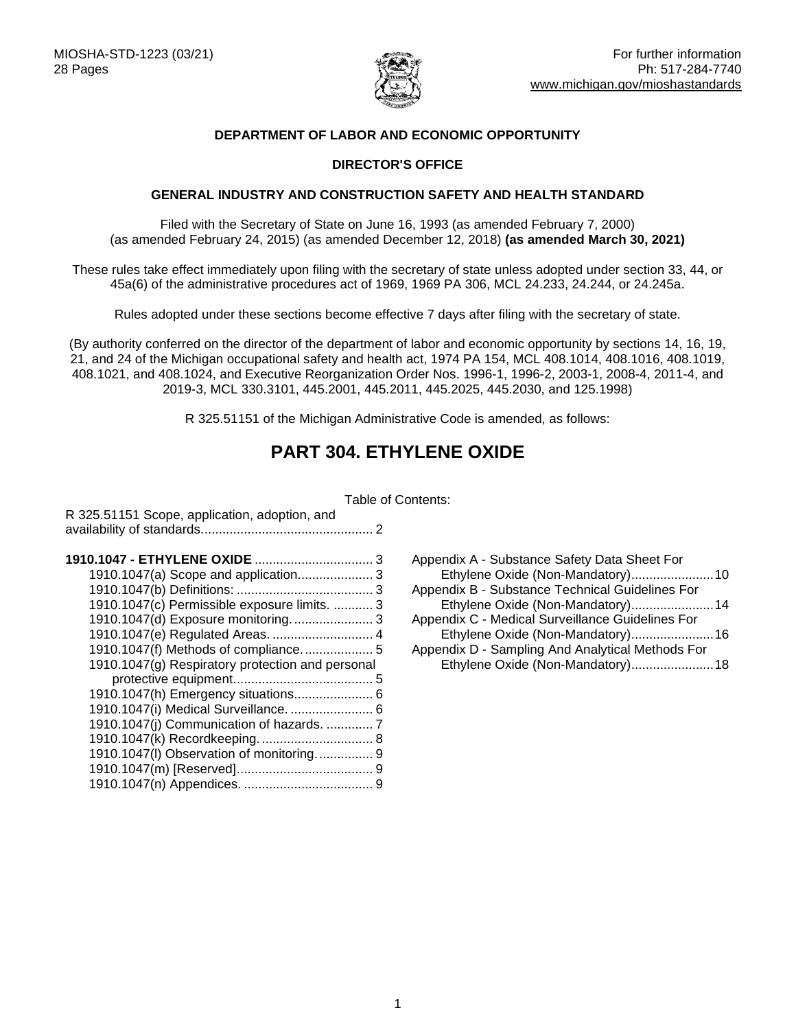

### **DEPARTMENT OF LABOR AND ECONOMIC OPPORTUNITY**

### **DIRECTOR'S OFFICE**

### **GENERAL INDUSTRY AND CONSTRUCTION SAFETY AND HEALTH STANDARD**

Filed with the Secretary of State on June 16, 1993 (as amended February 7, 2000) (as amended February 24, 2015) (as amended December 12, 2018) **(as amended March 30, 2021)** 

These rules take effect immediately upon filing with the secretary of state unless adopted under section 33, 44, or 45a(6) of the administrative procedures act of 1969, 1969 PA 306, MCL 24.233, 24.244, or 24.245a.

Rules adopted under these sections become effective 7 days after filing with the secretary of state.

(By authority conferred on the director of the department of labor and economic opportunity by sections 14, 16, 19, 21, and 24 of the Michigan occupational safety and health act, 1974 PA 154, MCL 408.1014, 408.1016, 408.1019, 408.1021, and 408.1024, and Executive Reorganization Order Nos. 1996-1, 1996-2, 2003-1, 2008-4, 2011-4, and 2019-3, MCL 330.3101, 445.2001, 445.2011, 445.2025, 445.2030, and 125.1998)

R 325.51151 of the Michigan Administrative Code is amended, as follows:

# **PART 304. ETHYLENE OXIDE**

|                                                  | Table of Contents: |       |
|--------------------------------------------------|--------------------|-------|
| R 325.51151 Scope, application, adoption, and    |                    |       |
|                                                  |                    |       |
|                                                  |                    |       |
|                                                  |                    | Appen |
| 1910.1047(a) Scope and application 3             |                    | Et    |
|                                                  |                    | Appen |
| 1910.1047(c) Permissible exposure limits.  3     |                    | Et    |
|                                                  |                    | Appen |
| 1910.1047(e) Regulated Areas.  4                 |                    | Et    |
| 1910.1047(f) Methods of compliance 5             |                    | Appen |
| 1910.1047(g) Respiratory protection and personal |                    | Et    |
|                                                  |                    |       |
| 1910.1047(h) Emergency situations 6              |                    |       |
| 1910.1047(i) Medical Surveillance.  6            |                    |       |
| 1910.1047(j) Communication of hazards.  7        |                    |       |
| 1910.1047(k) Recordkeeping.  8                   |                    |       |
| 1910.1047(I) Observation of monitoring 9         |                    |       |
|                                                  |                    |       |
|                                                  |                    |       |
|                                                  |                    |       |

<span id="page-0-0"></span>[Appendix A -](#page-9-0) [Substance Safety Data Sheet For](#page-9-1)  [Ethylene Oxide](#page-9-1) [\(Non-Mandatory\) ....................... 10](#page-9-2)  [Appendix B -](#page-13-0) [Substance Technical Guidelines For](#page-13-1)  [Ethylene Oxide](#page-13-1) [\(Non-Mandatory\) ....................... 14](#page-13-2)  [Appendix C -](#page-15-0) [Medical Surveillance Guidelines For](#page-15-1)  [Ethylene Oxide](#page-15-1) [\(Non-Mandatory\) ....................... 16](#page-15-2)  [Appendix D -](#page-17-0) [Sampling And Analytical Methods For](#page-17-1)  [Ethylene Oxide](#page-17-1) [\(Non-Mandatory\) ....................... 18](#page-17-2)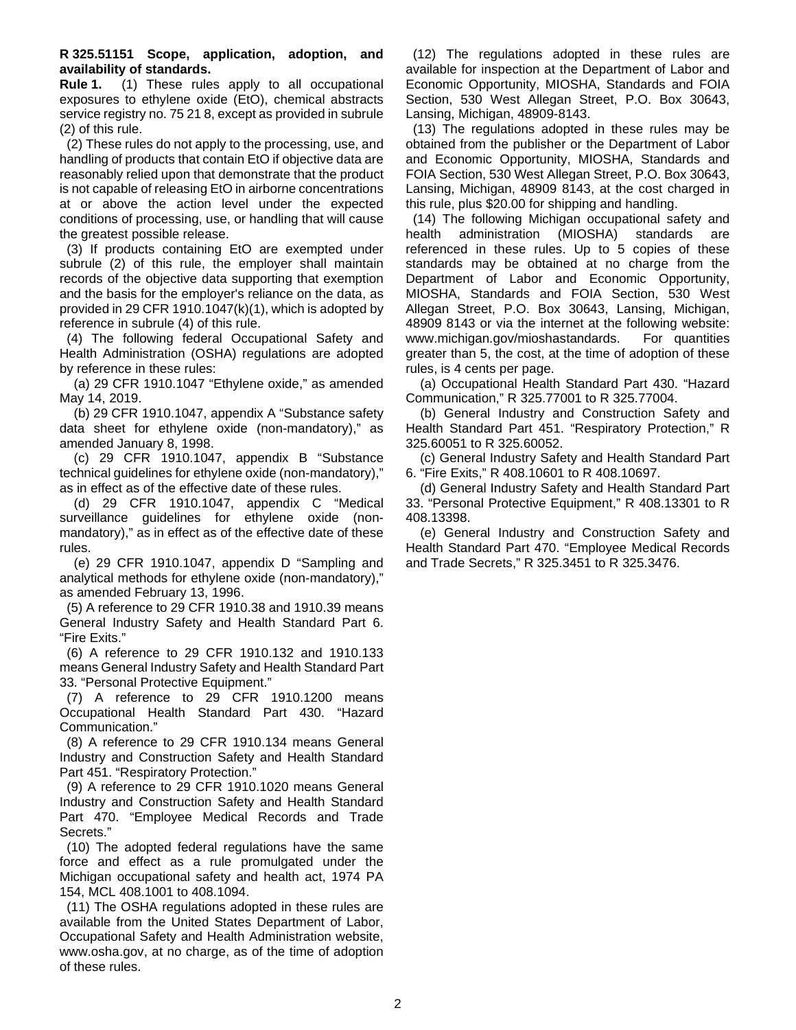#### **R 325.51151 Scope, application, adoption, and availability of standards.**

**Rule 1.** (1) These rules apply to all occupational exposures to ethylene oxide (EtO), chemical abstracts service registry no. 75 21 8, except as provided in subrule (2) of this rule.

 (2) These rules do not apply to the processing, use, and handling of products that contain EtO if objective data are reasonably relied upon that demonstrate that the product is not capable of releasing EtO in airborne concentrations at or above the action level under the expected conditions of processing, use, or handling that will cause the greatest possible release.

 (3) If products containing EtO are exempted under subrule (2) of this rule, the employer shall maintain records of the objective data supporting that exemption and the basis for the employer's reliance on the data, as provided in 29 CFR 1910.1047(k)(1), which is adopted by reference in subrule (4) of this rule.

 (4) The following federal Occupational Safety and Health Administration (OSHA) regulations are adopted by reference in these rules:

 (a) 29 CFR 1910.1047 "Ethylene oxide," as amended May 14, 2019.

 (b) 29 CFR 1910.1047, appendix A "Substance safety data sheet for ethylene oxide (non-mandatory)," as amended January 8, 1998.

 (c) 29 CFR 1910.1047, appendix B "Substance technical guidelines for ethylene oxide (non-mandatory)," as in effect as of the effective date of these rules.

 (d) 29 CFR 1910.1047, appendix C "Medical surveillance guidelines for ethylene oxide (nonmandatory)," as in effect as of the effective date of these rules.

 (e) 29 CFR 1910.1047, appendix D "Sampling and analytical methods for ethylene oxide (non-mandatory)," as amended February 13, 1996.

 (5) A reference to 29 CFR 1910.38 and 1910.39 means General Industry Safety and Health Standard Part 6. "Fire Exits."

 (6) A reference to 29 CFR 1910.132 and 1910.133 means General Industry Safety and Health Standard Part 33. "Personal Protective Equipment."

 (7) A reference to 29 CFR 1910.1200 means Occupational Health Standard Part 430. "Hazard Communication."

 (8) A reference to 29 CFR 1910.134 means General Industry and Construction Safety and Health Standard Part 451. "Respiratory Protection."

 (9) A reference to 29 CFR 1910.1020 means General Industry and Construction Safety and Health Standard Part 470. "Employee Medical Records and Trade Secrets."

 (10) The adopted federal regulations have the same force and effect as a rule promulgated under the Michigan occupational safety and health act, 1974 PA 154, MCL 408.1001 to 408.1094.

 (11) The OSHA regulations adopted in these rules are available from the United States Department of Labor, Occupational Safety and Health Administration website, www.osha.gov, at no charge, as of the time of adoption of these rules.

 (12) The regulations adopted in these rules are available for inspection at the Department of Labor and Economic Opportunity, MIOSHA, Standards and FOIA Section, 530 West Allegan Street, P.O. Box 30643, Lansing, Michigan, 48909-8143.

 (13) The regulations adopted in these rules may be obtained from the publisher or the Department of Labor and Economic Opportunity, MIOSHA, Standards and FOIA Section, 530 West Allegan Street, P.O. Box 30643, Lansing, Michigan, 48909 8143, at the cost charged in this rule, plus \$20.00 for shipping and handling.

 (14) The following Michigan occupational safety and health administration (MIOSHA) standards are referenced in these rules. Up to 5 copies of these standards may be obtained at no charge from the Department of Labor and Economic Opportunity, MIOSHA, Standards and FOIA Section, 530 West Allegan Street, P.O. Box 30643, Lansing, Michigan, 48909 8143 or via the internet at the following website: www.michigan.gov/mioshastandards. For quantities greater than 5, the cost, at the time of adoption of these rules, is 4 cents per page.

 (a) Occupational Health Standard Part 430. "Hazard Communication," R 325.77001 to R 325.77004.

 (b) General Industry and Construction Safety and Health Standard Part 451. "Respiratory Protection," R 325.60051 to R 325.60052.

 (c) General Industry Safety and Health Standard Part 6. "Fire Exits," R 408.10601 to R 408.10697.

 (d) General Industry Safety and Health Standard Part 33. "Personal Protective Equipment," R 408.13301 to R 408.13398.

 (e) General Industry and Construction Safety and Health Standard Part 470. "Employee Medical Records and Trade Secrets," R 325.3451 to R 325.3476.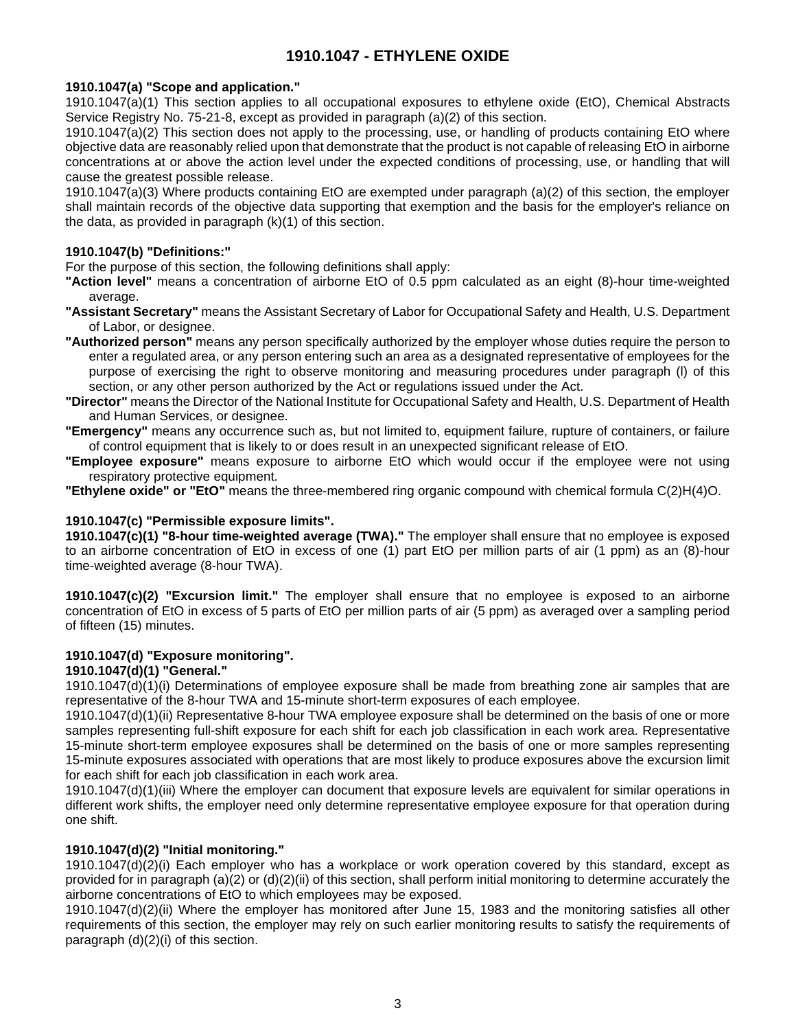# **1910.1047 - ETHYLENE OXIDE**

### <span id="page-2-1"></span><span id="page-2-0"></span>**1910.1047(a) "Scope and application."**

1910.1047(a)(1) This section applies to all occupational exposures to ethylene oxide (EtO), Chemical Abstracts Service Registry No. 75-21-8, except as provided in paragraph (a)(2) of this section.

1910.1047(a)(2) This section does not apply to the processing, use, or handling of products containing EtO where objective data are reasonably relied upon that demonstrate that the product is not capable of releasing EtO in airborne concentrations at or above the action level under the expected conditions of processing, use, or handling that will cause the greatest possible release.

1910.1047(a)(3) Where products containing EtO are exempted under paragraph (a)(2) of this section, the employer shall maintain records of the objective data supporting that exemption and the basis for the employer's reliance on the data, as provided in paragraph (k)(1) of this section.

#### <span id="page-2-2"></span>**1910.1047(b) "Definitions:"**

For the purpose of this section, the following definitions shall apply:

- **"Action level"** means a concentration of airborne EtO of 0.5 ppm calculated as an eight (8)-hour time-weighted average.
- **"Assistant Secretary"** means the Assistant Secretary of Labor for Occupational Safety and Health, U.S. Department of Labor, or designee.
- **"Authorized person"** means any person specifically authorized by the employer whose duties require the person to enter a regulated area, or any person entering such an area as a designated representative of employees for the purpose of exercising the right to observe monitoring and measuring procedures under paragraph (l) of this section, or any other person authorized by the Act or regulations issued under the Act.
- **"Director"** means the Director of the National Institute for Occupational Safety and Health, U.S. Department of Health and Human Services, or designee.
- **"Emergency"** means any occurrence such as, but not limited to, equipment failure, rupture of containers, or failure of control equipment that is likely to or does result in an unexpected significant release of EtO.
- **"Employee exposure"** means exposure to airborne EtO which would occur if the employee were not using respiratory protective equipment.
- **"Ethylene oxide" or "EtO"** means the three-membered ring organic compound with chemical formula C(2)H(4)O.

### <span id="page-2-3"></span>**1910.1047(c) "Permissible exposure limits".**

**1910.1047(c)(1) "8-hour time-weighted average (TWA)."** The employer shall ensure that no employee is exposed to an airborne concentration of EtO in excess of one (1) part EtO per million parts of air (1 ppm) as an (8)-hour time-weighted average (8-hour TWA).

**1910.1047(c)(2) "Excursion limit."** The employer shall ensure that no employee is exposed to an airborne concentration of EtO in excess of 5 parts of EtO per million parts of air (5 ppm) as averaged over a sampling period of fifteen (15) minutes.

#### <span id="page-2-4"></span>**1910.1047(d) "Exposure monitoring".**

#### **1910.1047(d)(1) "General."**

1910.1047(d)(1)(i) Determinations of employee exposure shall be made from breathing zone air samples that are representative of the 8-hour TWA and 15-minute short-term exposures of each employee.

1910.1047(d)(1)(ii) Representative 8-hour TWA employee exposure shall be determined on the basis of one or more samples representing full-shift exposure for each shift for each job classification in each work area. Representative 15-minute short-term employee exposures shall be determined on the basis of one or more samples representing 15-minute exposures associated with operations that are most likely to produce exposures above the excursion limit for each shift for each job classification in each work area.

1910.1047(d)(1)(iii) Where the employer can document that exposure levels are equivalent for similar operations in different work shifts, the employer need only determine representative employee exposure for that operation during one shift.

### **1910.1047(d)(2) "Initial monitoring."**

1910.1047(d)(2)(i) Each employer who has a workplace or work operation covered by this standard, except as provided for in paragraph (a)(2) or (d)(2)(ii) of this section, shall perform initial monitoring to determine accurately the airborne concentrations of EtO to which employees may be exposed.

1910.1047(d)(2)(ii) Where the employer has monitored after June 15, 1983 and the monitoring satisfies all other requirements of this section, the employer may rely on such earlier monitoring results to satisfy the requirements of paragraph (d)(2)(i) of this section.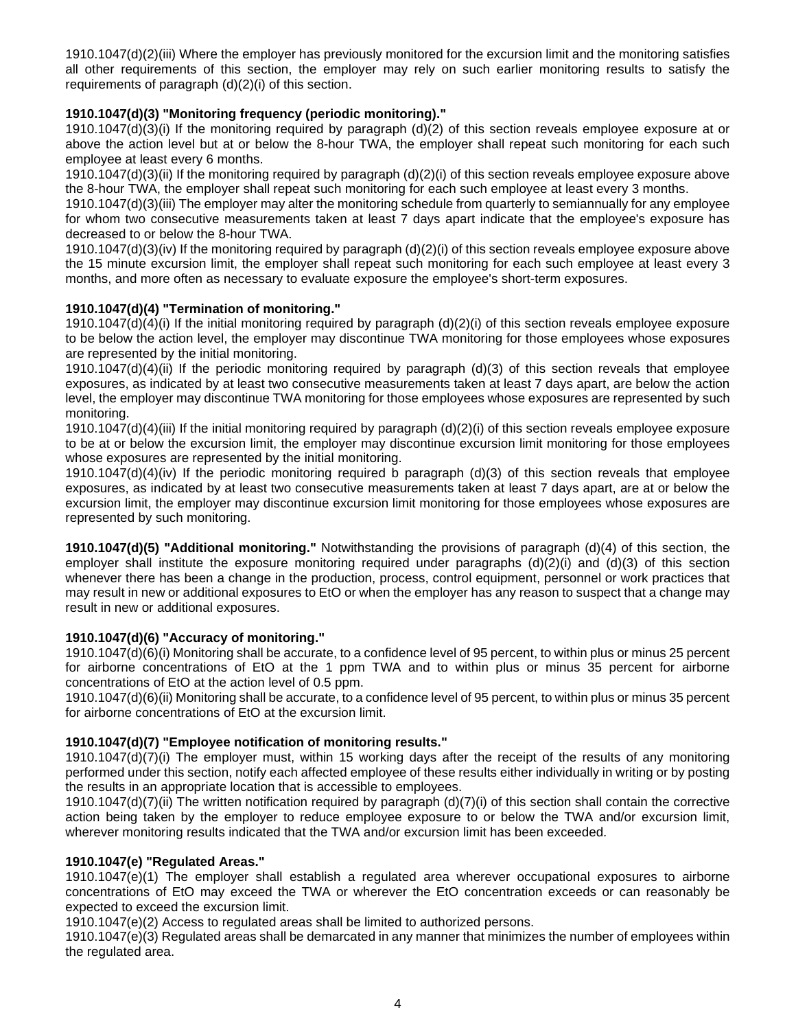1910.1047(d)(2)(iii) Where the employer has previously monitored for the excursion limit and the monitoring satisfies all other requirements of this section, the employer may rely on such earlier monitoring results to satisfy the requirements of paragraph (d)(2)(i) of this section.

### **1910.1047(d)(3) "Monitoring frequency (periodic monitoring)."**

1910.1047(d)(3)(i) If the monitoring required by paragraph (d)(2) of this section reveals employee exposure at or above the action level but at or below the 8-hour TWA, the employer shall repeat such monitoring for each such employee at least every 6 months.

1910.1047(d)(3)(ii) If the monitoring required by paragraph (d)(2)(i) of this section reveals employee exposure above the 8-hour TWA, the employer shall repeat such monitoring for each such employee at least every 3 months.

1910.1047(d)(3)(iii) The employer may alter the monitoring schedule from quarterly to semiannually for any employee for whom two consecutive measurements taken at least 7 days apart indicate that the employee's exposure has decreased to or below the 8-hour TWA.

1910.1047(d)(3)(iv) If the monitoring required by paragraph (d)(2)(i) of this section reveals employee exposure above the 15 minute excursion limit, the employer shall repeat such monitoring for each such employee at least every 3 months, and more often as necessary to evaluate exposure the employee's short-term exposures.

### **1910.1047(d)(4) "Termination of monitoring."**

1910.1047(d)(4)(i) If the initial monitoring required by paragraph (d)(2)(i) of this section reveals employee exposure to be below the action level, the employer may discontinue TWA monitoring for those employees whose exposures are represented by the initial monitoring.

1910.1047(d)(4)(ii) If the periodic monitoring required by paragraph (d)(3) of this section reveals that employee exposures, as indicated by at least two consecutive measurements taken at least 7 days apart, are below the action level, the employer may discontinue TWA monitoring for those employees whose exposures are represented by such monitoring.

1910.1047(d)(4)(iii) If the initial monitoring required by paragraph (d)(2)(i) of this section reveals employee exposure to be at or below the excursion limit, the employer may discontinue excursion limit monitoring for those employees whose exposures are represented by the initial monitoring.

1910.1047(d)(4)(iv) If the periodic monitoring required b paragraph (d)(3) of this section reveals that employee exposures, as indicated by at least two consecutive measurements taken at least 7 days apart, are at or below the excursion limit, the employer may discontinue excursion limit monitoring for those employees whose exposures are represented by such monitoring.

**1910.1047(d)(5) "Additional monitoring."** Notwithstanding the provisions of paragraph (d)(4) of this section, the employer shall institute the exposure monitoring required under paragraphs (d)(2)(i) and (d)(3) of this section whenever there has been a change in the production, process, control equipment, personnel or work practices that may result in new or additional exposures to EtO or when the employer has any reason to suspect that a change may result in new or additional exposures.

### **1910.1047(d)(6) "Accuracy of monitoring."**

1910.1047(d)(6)(i) Monitoring shall be accurate, to a confidence level of 95 percent, to within plus or minus 25 percent for airborne concentrations of EtO at the 1 ppm TWA and to within plus or minus 35 percent for airborne concentrations of EtO at the action level of 0.5 ppm.

1910.1047(d)(6)(ii) Monitoring shall be accurate, to a confidence level of 95 percent, to within plus or minus 35 percent for airborne concentrations of EtO at the excursion limit.

### **1910.1047(d)(7) "Employee notification of monitoring results."**

1910.1047(d)(7)(i) The employer must, within 15 working days after the receipt of the results of any monitoring performed under this section, notify each affected employee of these results either individually in writing or by posting the results in an appropriate location that is accessible to employees.

1910.1047(d)(7)(ii) The written notification required by paragraph (d)(7)(i) of this section shall contain the corrective action being taken by the employer to reduce employee exposure to or below the TWA and/or excursion limit, wherever monitoring results indicated that the TWA and/or excursion limit has been exceeded.

#### <span id="page-3-0"></span>**1910.1047(e) "Regulated Areas."**

1910.1047(e)(1) The employer shall establish a regulated area wherever occupational exposures to airborne concentrations of EtO may exceed the TWA or wherever the EtO concentration exceeds or can reasonably be expected to exceed the excursion limit.

1910.1047(e)(2) Access to regulated areas shall be limited to authorized persons.

1910.1047(e)(3) Regulated areas shall be demarcated in any manner that minimizes the number of employees within the regulated area.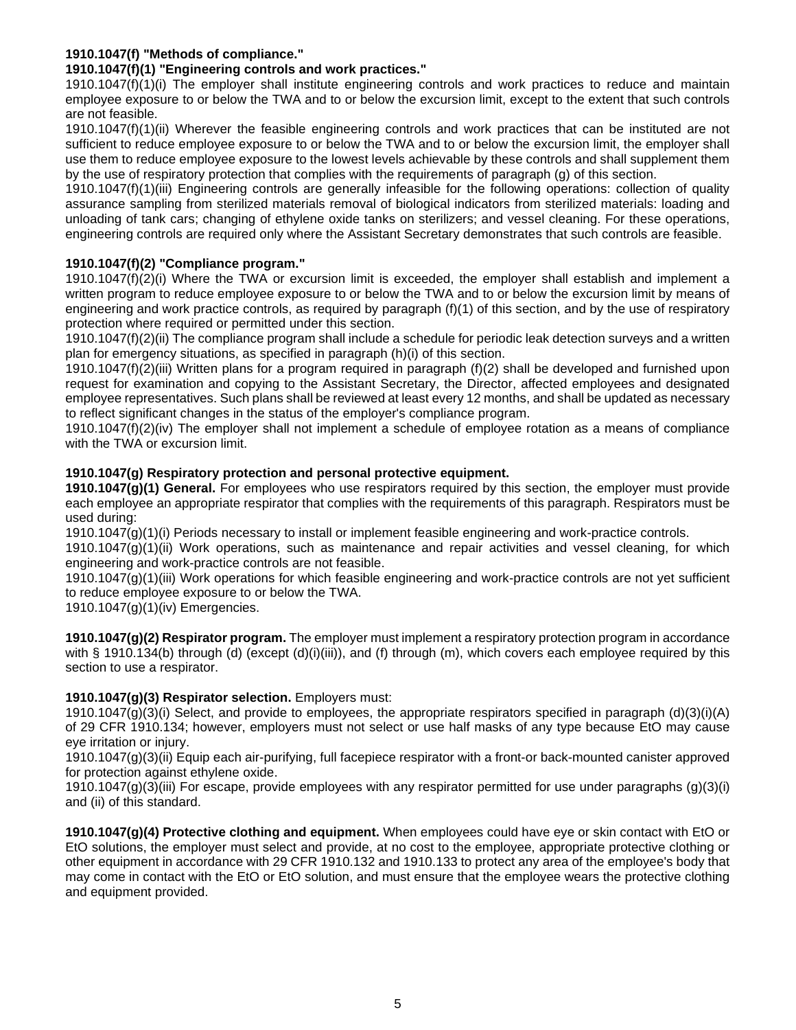### <span id="page-4-0"></span>**1910.1047(f) "Methods of compliance."**

# **1910.1047(f)(1) "Engineering controls and work practices."**

1910.1047(f)(1)(i) The employer shall institute engineering controls and work practices to reduce and maintain employee exposure to or below the TWA and to or below the excursion limit, except to the extent that such controls are not feasible.

1910.1047(f)(1)(ii) Wherever the feasible engineering controls and work practices that can be instituted are not sufficient to reduce employee exposure to or below the TWA and to or below the excursion limit, the employer shall use them to reduce employee exposure to the lowest levels achievable by these controls and shall supplement them by the use of respiratory protection that complies with the requirements of paragraph (g) of this section.

1910.1047(f)(1)(iii) Engineering controls are generally infeasible for the following operations: collection of quality assurance sampling from sterilized materials removal of biological indicators from sterilized materials: loading and unloading of tank cars; changing of ethylene oxide tanks on sterilizers; and vessel cleaning. For these operations, engineering controls are required only where the Assistant Secretary demonstrates that such controls are feasible.

# **1910.1047(f)(2) "Compliance program."**

1910.1047(f)(2)(i) Where the TWA or excursion limit is exceeded, the employer shall establish and implement a written program to reduce employee exposure to or below the TWA and to or below the excursion limit by means of engineering and work practice controls, as required by paragraph (f)(1) of this section, and by the use of respiratory protection where required or permitted under this section.

1910.1047(f)(2)(ii) The compliance program shall include a schedule for periodic leak detection surveys and a written plan for emergency situations, as specified in paragraph (h)(i) of this section.

1910.1047(f)(2)(iii) Written plans for a program required in paragraph (f)(2) shall be developed and furnished upon request for examination and copying to the Assistant Secretary, the Director, affected employees and designated employee representatives. Such plans shall be reviewed at least every 12 months, and shall be updated as necessary to reflect significant changes in the status of the employer's compliance program.

1910.1047(f)(2)(iv) The employer shall not implement a schedule of employee rotation as a means of compliance with the TWA or excursion limit.

# <span id="page-4-1"></span>**1910.1047(g) Respiratory protection and personal protective equipment.**

**1910.1047(g)(1) General.** For employees who use respirators required by this section, the employer must provide each employee an appropriate respirator that complies with the requirements of this paragraph. Respirators must be used during:

1910.1047(g)(1)(i) Periods necessary to install or implement feasible engineering and work-practice controls.

1910.1047(g)(1)(ii) Work operations, such as maintenance and repair activities and vessel cleaning, for which engineering and work-practice controls are not feasible.

1910.1047(g)(1)(iii) Work operations for which feasible engineering and work-practice controls are not yet sufficient to reduce employee exposure to or below the TWA.

1910.1047(g)(1)(iv) Emergencies.

**1910.1047(g)(2) Respirator program.** The employer must implement a respiratory protection program in accordance with § 1910.134(b) through (d) (except (d)(i)(iii)), and (f) through (m), which covers each employee required by this section to use a respirator.

# **1910.1047(g)(3) Respirator selection.** Employers must:

1910.1047(g)(3)(i) Select, and provide to employees, the appropriate respirators specified in paragraph (d)(3)(i)(A) of 29 CFR 1910.134; however, employers must not select or use half masks of any type because EtO may cause eye irritation or injury.

1910.1047(g)(3)(ii) Equip each air-purifying, full facepiece respirator with a front-or back-mounted canister approved for protection against ethylene oxide.

1910.1047(g)(3)(iii) For escape, provide employees with any respirator permitted for use under paragraphs (g)(3)(i) and (ii) of this standard.

**1910.1047(g)(4) Protective clothing and equipment.** When employees could have eye or skin contact with EtO or EtO solutions, the employer must select and provide, at no cost to the employee, appropriate protective clothing or other equipment in accordance with 29 CFR 1910.132 and 1910.133 to protect any area of the employee's body that may come in contact with the EtO or EtO solution, and must ensure that the employee wears the protective clothing and equipment provided.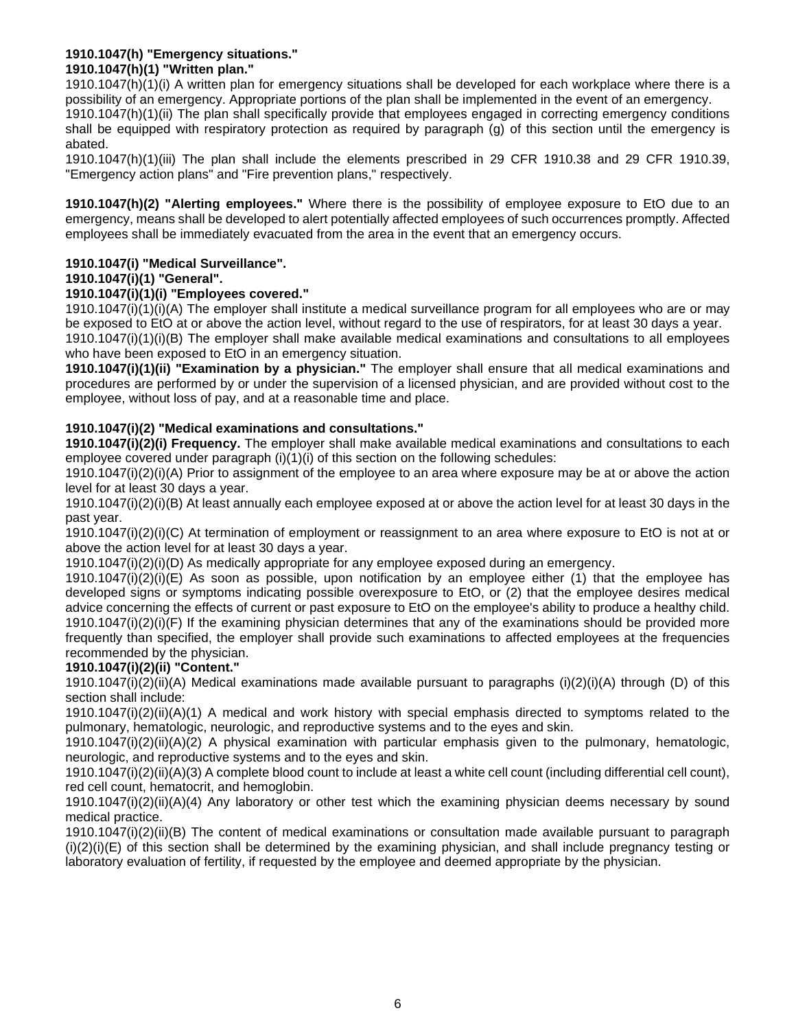#### <span id="page-5-0"></span>**1910.1047(h) "Emergency situations." 1910.1047(h)(1) "Written plan."**

1910.1047(h)(1)(i) A written plan for emergency situations shall be developed for each workplace where there is a possibility of an emergency. Appropriate portions of the plan shall be implemented in the event of an emergency.

1910.1047(h)(1)(ii) The plan shall specifically provide that employees engaged in correcting emergency conditions shall be equipped with respiratory protection as required by paragraph (g) of this section until the emergency is abated.

1910.1047(h)(1)(iii) The plan shall include the elements prescribed in 29 CFR 1910.38 and 29 CFR 1910.39, "Emergency action plans" and "Fire prevention plans," respectively.

**1910.1047(h)(2) "Alerting employees."** Where there is the possibility of employee exposure to EtO due to an emergency, means shall be developed to alert potentially affected employees of such occurrences promptly. Affected employees shall be immediately evacuated from the area in the event that an emergency occurs.

### <span id="page-5-1"></span>**1910.1047(i) "Medical Surveillance".**

### **1910.1047(i)(1) "General".**

### **1910.1047(i)(1)(i) "Employees covered."**

1910.1047(i)(1)(i)(A) The employer shall institute a medical surveillance program for all employees who are or may be exposed to EtO at or above the action level, without regard to the use of respirators, for at least 30 days a year.

1910.1047(i)(1)(i)(B) The employer shall make available medical examinations and consultations to all employees who have been exposed to EtO in an emergency situation.

**1910.1047(i)(1)(ii) "Examination by a physician."** The employer shall ensure that all medical examinations and procedures are performed by or under the supervision of a licensed physician, and are provided without cost to the employee, without loss of pay, and at a reasonable time and place.

### **1910.1047(i)(2) "Medical examinations and consultations."**

**1910.1047(i)(2)(i) Frequency.** The employer shall make available medical examinations and consultations to each employee covered under paragraph  $(i)(1)(i)$  of this section on the following schedules:

1910.1047(i)(2)(i)(A) Prior to assignment of the employee to an area where exposure may be at or above the action level for at least 30 days a year.

1910.1047(i)(2)(i)(B) At least annually each employee exposed at or above the action level for at least 30 days in the past year.

1910.1047(i)(2)(i)(C) At termination of employment or reassignment to an area where exposure to EtO is not at or above the action level for at least 30 days a year.

1910.1047(i)(2)(i)(D) As medically appropriate for any employee exposed during an emergency.

1910.1047(i)(2)(i)(E) As soon as possible, upon notification by an employee either (1) that the employee has developed signs or symptoms indicating possible overexposure to EtO, or (2) that the employee desires medical advice concerning the effects of current or past exposure to EtO on the employee's ability to produce a healthy child. 1910.1047(i)(2)(i)(F) If the examining physician determines that any of the examinations should be provided more frequently than specified, the employer shall provide such examinations to affected employees at the frequencies recommended by the physician.

### **1910.1047(i)(2)(ii) "Content."**

1910.1047(i)(2)(ii)(A) Medical examinations made available pursuant to paragraphs (i)(2)(i)(A) through (D) of this section shall include:

1910.1047(i)(2)(ii)(A)(1) A medical and work history with special emphasis directed to symptoms related to the pulmonary, hematologic, neurologic, and reproductive systems and to the eyes and skin.

1910.1047(i)(2)(ii)(A)(2) A physical examination with particular emphasis given to the pulmonary, hematologic, neurologic, and reproductive systems and to the eyes and skin.

1910.1047(i)(2)(ii)(A)(3) A complete blood count to include at least a white cell count (including differential cell count), red cell count, hematocrit, and hemoglobin.

1910.1047(i)(2)(ii)(A)(4) Any laboratory or other test which the examining physician deems necessary by sound medical practice.

1910.1047(i)(2)(ii)(B) The content of medical examinations or consultation made available pursuant to paragraph  $(i)(2)(i)(E)$  of this section shall be determined by the examining physician, and shall include pregnancy testing or laboratory evaluation of fertility, if requested by the employee and deemed appropriate by the physician.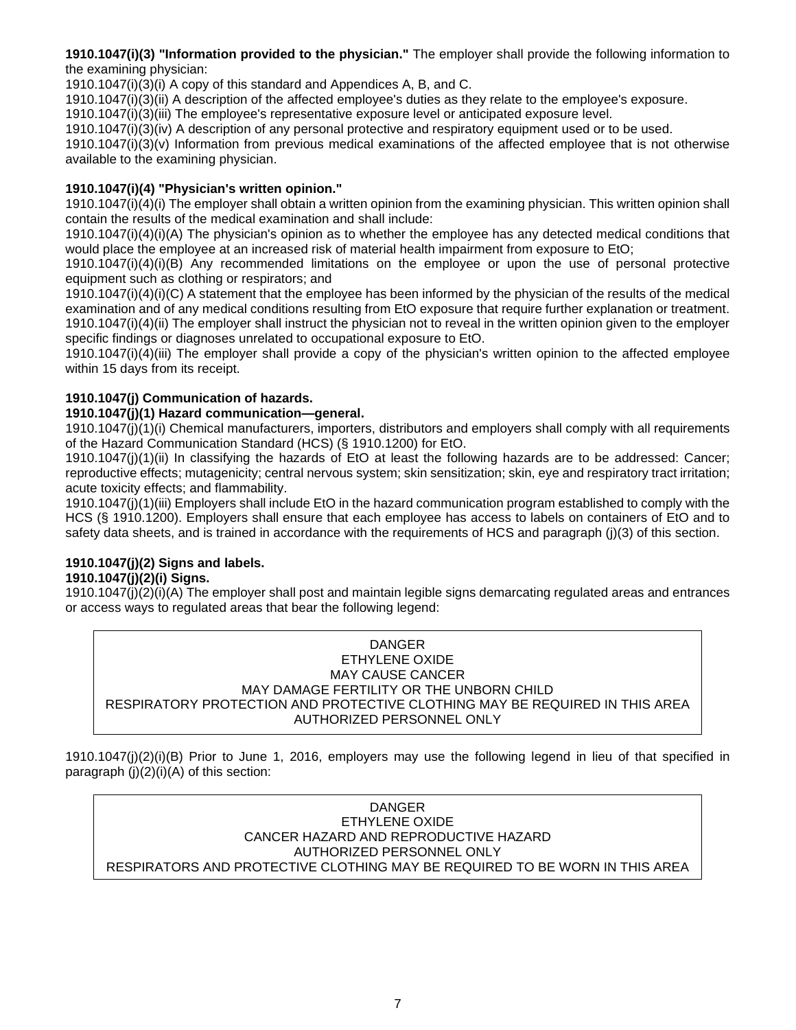**1910.1047(i)(3) "Information provided to the physician."** The employer shall provide the following information to the examining physician:

1910.1047(i)(3)(i) A copy of this standard and Appendices A, B, and C.

1910.1047(i)(3)(ii) A description of the affected employee's duties as they relate to the employee's exposure.

1910.1047(i)(3)(iii) The employee's representative exposure level or anticipated exposure level.

1910.1047(i)(3)(iv) A description of any personal protective and respiratory equipment used or to be used.

1910.1047(i)(3)(v) Information from previous medical examinations of the affected employee that is not otherwise available to the examining physician.

### **1910.1047(i)(4) "Physician's written opinion."**

1910.1047(i)(4)(i) The employer shall obtain a written opinion from the examining physician. This written opinion shall contain the results of the medical examination and shall include:

1910.1047(i)(4)(i)(A) The physician's opinion as to whether the employee has any detected medical conditions that would place the employee at an increased risk of material health impairment from exposure to EtO;

1910.1047(i)(4)(i)(B) Any recommended limitations on the employee or upon the use of personal protective equipment such as clothing or respirators; and

1910.1047(i)(4)(i)(C) A statement that the employee has been informed by the physician of the results of the medical examination and of any medical conditions resulting from EtO exposure that require further explanation or treatment. 1910.1047(i)(4)(ii) The employer shall instruct the physician not to reveal in the written opinion given to the employer specific findings or diagnoses unrelated to occupational exposure to EtO.

1910.1047(i)(4)(iii) The employer shall provide a copy of the physician's written opinion to the affected employee within 15 days from its receipt.

### <span id="page-6-0"></span>**1910.1047(j) Communication of hazards.**

### **1910.1047(j)(1) Hazard communication—general.**

1910.1047(j)(1)(i) Chemical manufacturers, importers, distributors and employers shall comply with all requirements of the Hazard Communication Standard (HCS) (§ 1910.1200) for EtO.

1910.1047(j)(1)(ii) In classifying the hazards of EtO at least the following hazards are to be addressed: Cancer; reproductive effects; mutagenicity; central nervous system; skin sensitization; skin, eye and respiratory tract irritation; acute toxicity effects; and flammability.

1910.1047(j)(1)(iii) Employers shall include EtO in the hazard communication program established to comply with the HCS (§ 1910.1200). Employers shall ensure that each employee has access to labels on containers of EtO and to safety data sheets, and is trained in accordance with the requirements of HCS and paragraph (j)(3) of this section.

# **1910.1047(j)(2) Signs and labels.**

### **1910.1047(j)(2)(i) Signs.**

1910.1047(j)(2)(i)(A) The employer shall post and maintain legible signs demarcating regulated areas and entrances or access ways to regulated areas that bear the following legend:

DANGER ETHYLENE OXIDE MAY CAUSE CANCER MAY DAMAGE FERTILITY OR THE UNBORN CHILD RESPIRATORY PROTECTION AND PROTECTIVE CLOTHING MAY BE REQUIRED IN THIS AREA AUTHORIZED PERSONNEL ONLY

1910.1047(j)(2)(i)(B) Prior to June 1, 2016, employers may use the following legend in lieu of that specified in paragraph  $(i)(2)(i)(A)$  of this section:

### DANGER ETHYLENE OXIDE CANCER HAZARD AND REPRODUCTIVE HAZARD AUTHORIZED PERSONNEL ONLY RESPIRATORS AND PROTECTIVE CLOTHING MAY BE REQUIRED TO BE WORN IN THIS AREA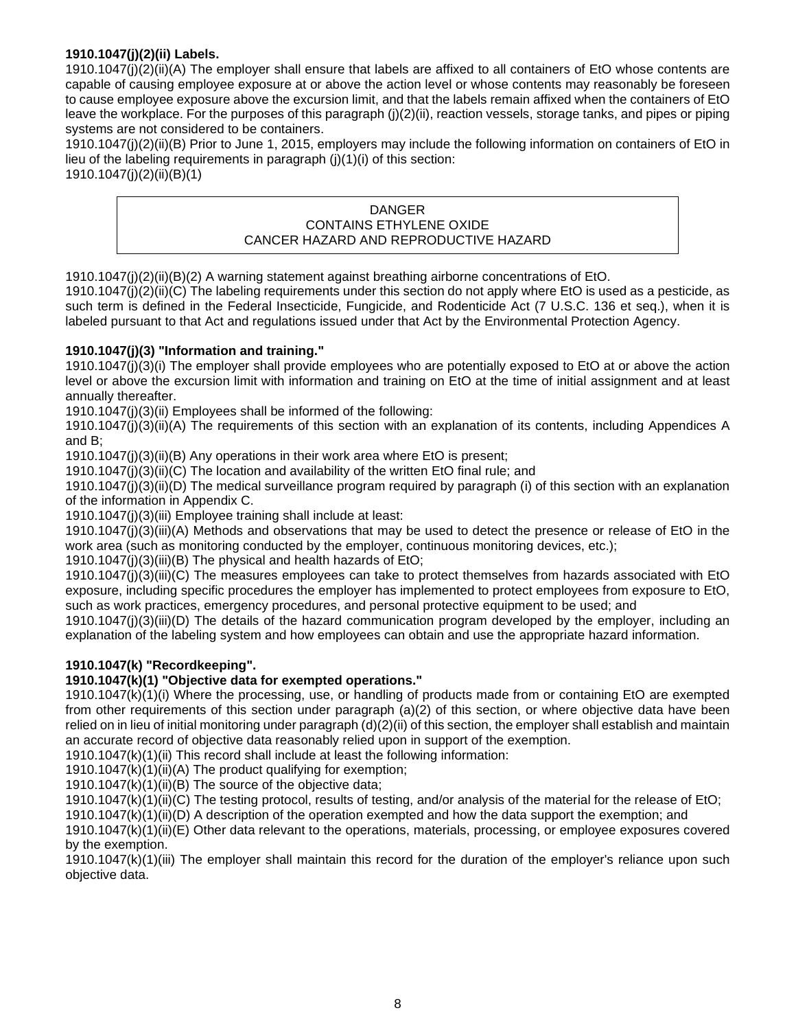### **1910.1047(j)(2)(ii) Labels.**

1910.1047(j)(2)(ii)(A) The employer shall ensure that labels are affixed to all containers of EtO whose contents are capable of causing employee exposure at or above the action level or whose contents may reasonably be foreseen to cause employee exposure above the excursion limit, and that the labels remain affixed when the containers of EtO leave the workplace. For the purposes of this paragraph (j)(2)(ii), reaction vessels, storage tanks, and pipes or piping systems are not considered to be containers.

1910.1047(j)(2)(ii)(B) Prior to June 1, 2015, employers may include the following information on containers of EtO in lieu of the labeling requirements in paragraph (j)(1)(i) of this section: 1910.1047(j)(2)(ii)(B)(1)

### DANGER CONTAINS ETHYLENE OXIDE CANCER HAZARD AND REPRODUCTIVE HAZARD

1910.1047(j)(2)(ii)(B)(2) A warning statement against breathing airborne concentrations of EtO.

1910.1047(j)(2)(ii)(C) The labeling requirements under this section do not apply where EtO is used as a pesticide, as such term is defined in the Federal Insecticide, Fungicide, and Rodenticide Act (7 U.S.C. 136 et seq.), when it is labeled pursuant to that Act and regulations issued under that Act by the Environmental Protection Agency.

### **1910.1047(j)(3) "Information and training."**

1910.1047(j)(3)(i) The employer shall provide employees who are potentially exposed to EtO at or above the action level or above the excursion limit with information and training on EtO at the time of initial assignment and at least annually thereafter.

1910.1047(j)(3)(ii) Employees shall be informed of the following:

1910.1047(j)(3)(ii)(A) The requirements of this section with an explanation of its contents, including Appendices A and B;

1910.1047(j)(3)(ii)(B) Any operations in their work area where EtO is present;

1910.1047(j)(3)(ii)(C) The location and availability of the written EtO final rule; and

1910.1047(j)(3)(ii)(D) The medical surveillance program required by paragraph (i) of this section with an explanation of the information in Appendix C.

1910.1047(j)(3)(iii) Employee training shall include at least:

1910.1047(j)(3)(iii)(A) Methods and observations that may be used to detect the presence or release of EtO in the work area (such as monitoring conducted by the employer, continuous monitoring devices, etc.);

1910.1047(j)(3)(iii)(B) The physical and health hazards of EtO;

1910.1047(j)(3)(iii)(C) The measures employees can take to protect themselves from hazards associated with EtO exposure, including specific procedures the employer has implemented to protect employees from exposure to EtO, such as work practices, emergency procedures, and personal protective equipment to be used; and

1910.1047(j)(3)(iii)(D) The details of the hazard communication program developed by the employer, including an explanation of the labeling system and how employees can obtain and use the appropriate hazard information.

# <span id="page-7-0"></span>**1910.1047(k) "Recordkeeping".**

### **1910.1047(k)(1) "Objective data for exempted operations."**

1910.1047(k)(1)(i) Where the processing, use, or handling of products made from or containing EtO are exempted from other requirements of this section under paragraph (a)(2) of this section, or where objective data have been relied on in lieu of initial monitoring under paragraph (d)(2)(ii) of this section, the employer shall establish and maintain an accurate record of objective data reasonably relied upon in support of the exemption.

1910.1047(k)(1)(ii) This record shall include at least the following information:

1910.1047(k)(1)(ii)(A) The product qualifying for exemption;

1910.1047(k)(1)(ii)(B) The source of the objective data;

1910.1047(k)(1)(ii)(C) The testing protocol, results of testing, and/or analysis of the material for the release of EtO; 1910.1047(k)(1)(ii)(D) A description of the operation exempted and how the data support the exemption; and

1910.1047(k)(1)(ii)(E) Other data relevant to the operations, materials, processing, or employee exposures covered by the exemption.

1910.1047(k)(1)(iii) The employer shall maintain this record for the duration of the employer's reliance upon such objective data.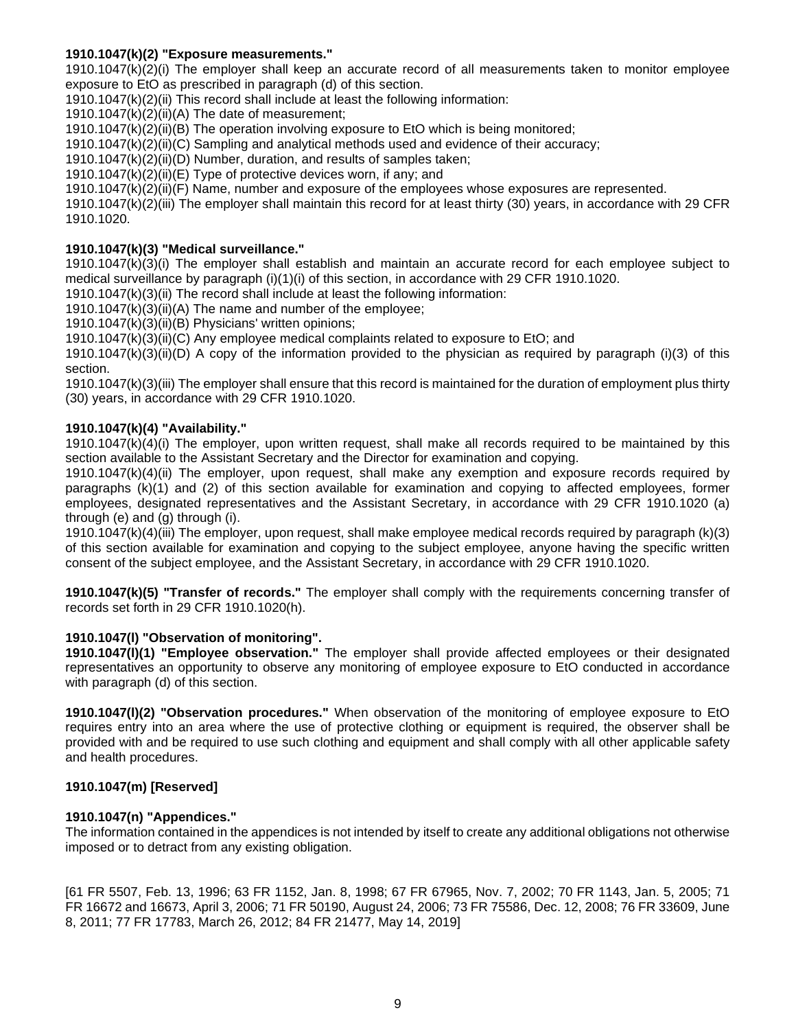#### **1910.1047(k)(2) "Exposure measurements."**

1910.1047(k)(2)(i) The employer shall keep an accurate record of all measurements taken to monitor employee exposure to EtO as prescribed in paragraph (d) of this section.

1910.1047(k)(2)(ii) This record shall include at least the following information:

1910.1047(k)(2)(ii)(A) The date of measurement;

1910.1047(k)(2)(ii)(B) The operation involving exposure to EtO which is being monitored;

1910.1047(k)(2)(ii)(C) Sampling and analytical methods used and evidence of their accuracy;

1910.1047(k)(2)(ii)(D) Number, duration, and results of samples taken;

 $1910.1047(k)(2)(ii)(E)$  Type of protective devices worn, if any; and

1910.1047(k)(2)(ii)(F) Name, number and exposure of the employees whose exposures are represented.

1910.1047(k)(2)(iii) The employer shall maintain this record for at least thirty (30) years, in accordance with 29 CFR 1910.1020.

### **1910.1047(k)(3) "Medical surveillance."**

1910.1047(k)(3)(i) The employer shall establish and maintain an accurate record for each employee subject to medical surveillance by paragraph (i)(1)(i) of this section, in accordance with 29 CFR 1910.1020.

1910.1047(k)(3)(ii) The record shall include at least the following information:

1910.1047(k)(3)(ii)(A) The name and number of the employee;

1910.1047(k)(3)(ii)(B) Physicians' written opinions;

1910.1047(k)(3)(ii)(C) Any employee medical complaints related to exposure to EtO; and

1910.1047(k)(3)(ii)(D) A copy of the information provided to the physician as required by paragraph (i)(3) of this section.

1910.1047(k)(3)(iii) The employer shall ensure that this record is maintained for the duration of employment plus thirty (30) years, in accordance with 29 CFR 1910.1020.

### **1910.1047(k)(4) "Availability."**

1910.1047(k)(4)(i) The employer, upon written request, shall make all records required to be maintained by this section available to the Assistant Secretary and the Director for examination and copying.

1910.1047(k)(4)(ii) The employer, upon request, shall make any exemption and exposure records required by paragraphs (k)(1) and (2) of this section available for examination and copying to affected employees, former employees, designated representatives and the Assistant Secretary, in accordance with 29 CFR 1910.1020 (a) through (e) and (g) through (i).

1910.1047(k)(4)(iii) The employer, upon request, shall make employee medical records required by paragraph (k)(3) of this section available for examination and copying to the subject employee, anyone having the specific written consent of the subject employee, and the Assistant Secretary, in accordance with 29 CFR 1910.1020.

**1910.1047(k)(5) "Transfer of records."** The employer shall comply with the requirements concerning transfer of records set forth in 29 CFR 1910.1020(h).

#### <span id="page-8-0"></span>**1910.1047(l) "Observation of monitoring".**

**1910.1047(l)(1) "Employee observation."** The employer shall provide affected employees or their designated representatives an opportunity to observe any monitoring of employee exposure to EtO conducted in accordance with paragraph (d) of this section.

**1910.1047(l)(2) "Observation procedures."** When observation of the monitoring of employee exposure to EtO requires entry into an area where the use of protective clothing or equipment is required, the observer shall be provided with and be required to use such clothing and equipment and shall comply with all other applicable safety and health procedures.

### <span id="page-8-1"></span>**1910.1047(m) [Reserved]**

### <span id="page-8-2"></span>**1910.1047(n) "Appendices."**

The information contained in the appendices is not intended by itself to create any additional obligations not otherwise imposed or to detract from any existing obligation.

[61 FR 5507, Feb. 13, 1996; 63 FR 1152, Jan. 8, 1998; 67 FR 67965, Nov. 7, 2002; 70 FR 1143, Jan. 5, 2005; 71 FR 16672 and 16673, April 3, 2006; 71 FR 50190, August 24, 2006; 73 FR 75586, Dec. 12, 2008; 76 FR 33609, June 8, 2011; 77 FR 17783, March 26, 2012; 84 FR 21477, May 14, 2019]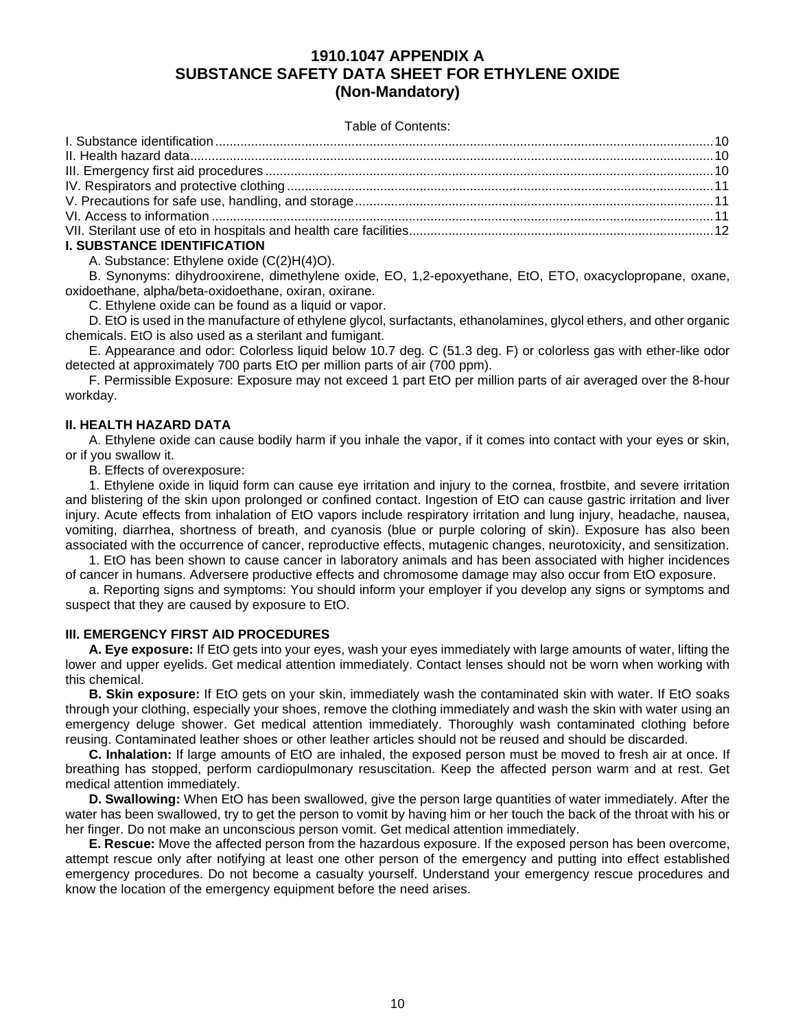# **1910.1047 APPENDIX A SUBSTANCE SAFETY DATA SHEET FOR ETHYLENE OXIDE (Non-Mandatory)**

#### Table of Contents:

<span id="page-9-2"></span><span id="page-9-1"></span><span id="page-9-0"></span>

#### <span id="page-9-3"></span>**I. SUBSTANCE IDENTIFICATION**

A. Substance: Ethylene oxide (C(2)H(4)O).

B. Synonyms: dihydrooxirene, dimethylene oxide, EO, 1,2-epoxyethane, EtO, ETO, oxacyclopropane, oxane, oxidoethane, alpha/beta-oxidoethane, oxiran, oxirane.

C. Ethylene oxide can be found as a liquid or vapor.

D. EtO is used in the manufacture of ethylene glycol, surfactants, ethanolamines, glycol ethers, and other organic chemicals. EtO is also used as a sterilant and fumigant.

E. Appearance and odor: Colorless liquid below 10.7 deg. C (51.3 deg. F) or colorless gas with ether-like odor detected at approximately 700 parts EtO per million parts of air (700 ppm).

F. Permissible Exposure: Exposure may not exceed 1 part EtO per million parts of air averaged over the 8-hour workday.

#### <span id="page-9-4"></span>**II. HEALTH HAZARD DATA**

A. Ethylene oxide can cause bodily harm if you inhale the vapor, if it comes into contact with your eyes or skin, or if you swallow it.

B. Effects of overexposure:

1. Ethylene oxide in liquid form can cause eye irritation and injury to the cornea, frostbite, and severe irritation and blistering of the skin upon prolonged or confined contact. Ingestion of EtO can cause gastric irritation and liver injury. Acute effects from inhalation of EtO vapors include respiratory irritation and lung injury, headache, nausea, vomiting, diarrhea, shortness of breath, and cyanosis (blue or purple coloring of skin). Exposure has also been associated with the occurrence of cancer, reproductive effects, mutagenic changes, neurotoxicity, and sensitization.

1. EtO has been shown to cause cancer in laboratory animals and has been associated with higher incidences of cancer in humans. Adversere productive effects and chromosome damage may also occur from EtO exposure.

a. Reporting signs and symptoms: You should inform your employer if you develop any signs or symptoms and suspect that they are caused by exposure to EtO.

#### <span id="page-9-5"></span>**III. EMERGENCY FIRST AID PROCEDURES**

**A. Eye exposure:** If EtO gets into your eyes, wash your eyes immediately with large amounts of water, lifting the lower and upper eyelids. Get medical attention immediately. Contact lenses should not be worn when working with this chemical.

**B. Skin exposure:** If EtO gets on your skin, immediately wash the contaminated skin with water. If EtO soaks through your clothing, especially your shoes, remove the clothing immediately and wash the skin with water using an emergency deluge shower. Get medical attention immediately. Thoroughly wash contaminated clothing before reusing. Contaminated leather shoes or other leather articles should not be reused and should be discarded.

**C. Inhalation:** If large amounts of EtO are inhaled, the exposed person must be moved to fresh air at once. If breathing has stopped, perform cardiopulmonary resuscitation. Keep the affected person warm and at rest. Get medical attention immediately.

**D. Swallowing:** When EtO has been swallowed, give the person large quantities of water immediately. After the water has been swallowed, try to get the person to vomit by having him or her touch the back of the throat with his or her finger. Do not make an unconscious person vomit. Get medical attention immediately.

<span id="page-9-6"></span>**E. Rescue:** Move the affected person from the hazardous exposure. If the exposed person has been overcome, attempt rescue only after notifying at least one other person of the emergency and putting into effect established emergency procedures. Do not become a casualty yourself. Understand your emergency rescue procedures and know the location of the emergency equipment before the need arises.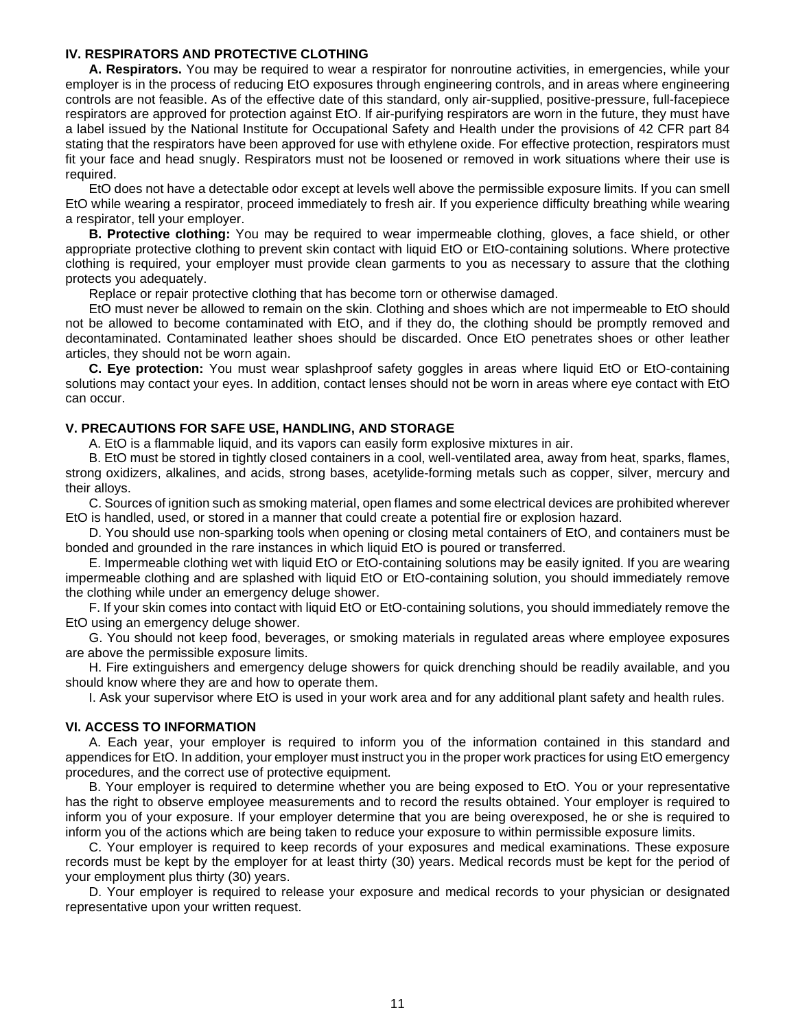#### **IV. RESPIRATORS AND PROTECTIVE CLOTHING**

**A. Respirators.** You may be required to wear a respirator for nonroutine activities, in emergencies, while your employer is in the process of reducing EtO exposures through engineering controls, and in areas where engineering controls are not feasible. As of the effective date of this standard, only air-supplied, positive-pressure, full-facepiece respirators are approved for protection against EtO. If air-purifying respirators are worn in the future, they must have a label issued by the National Institute for Occupational Safety and Health under the provisions of 42 CFR part 84 stating that the respirators have been approved for use with ethylene oxide. For effective protection, respirators must fit your face and head snugly. Respirators must not be loosened or removed in work situations where their use is required.

EtO does not have a detectable odor except at levels well above the permissible exposure limits. If you can smell EtO while wearing a respirator, proceed immediately to fresh air. If you experience difficulty breathing while wearing a respirator, tell your employer.

**B. Protective clothing:** You may be required to wear impermeable clothing, gloves, a face shield, or other appropriate protective clothing to prevent skin contact with liquid EtO or EtO-containing solutions. Where protective clothing is required, your employer must provide clean garments to you as necessary to assure that the clothing protects you adequately.

Replace or repair protective clothing that has become torn or otherwise damaged.

EtO must never be allowed to remain on the skin. Clothing and shoes which are not impermeable to EtO should not be allowed to become contaminated with EtO, and if they do, the clothing should be promptly removed and decontaminated. Contaminated leather shoes should be discarded. Once EtO penetrates shoes or other leather articles, they should not be worn again.

**C. Eye protection:** You must wear splashproof safety goggles in areas where liquid EtO or EtO-containing solutions may contact your eyes. In addition, contact lenses should not be worn in areas where eye contact with EtO can occur.

#### <span id="page-10-0"></span>**V. PRECAUTIONS FOR SAFE USE, HANDLING, AND STORAGE**

A. EtO is a flammable liquid, and its vapors can easily form explosive mixtures in air.

B. EtO must be stored in tightly closed containers in a cool, well-ventilated area, away from heat, sparks, flames, strong oxidizers, alkalines, and acids, strong bases, acetylide-forming metals such as copper, silver, mercury and their alloys.

C. Sources of ignition such as smoking material, open flames and some electrical devices are prohibited wherever EtO is handled, used, or stored in a manner that could create a potential fire or explosion hazard.

D. You should use non-sparking tools when opening or closing metal containers of EtO, and containers must be bonded and grounded in the rare instances in which liquid EtO is poured or transferred.

E. Impermeable clothing wet with liquid EtO or EtO-containing solutions may be easily ignited. If you are wearing impermeable clothing and are splashed with liquid EtO or EtO-containing solution, you should immediately remove the clothing while under an emergency deluge shower.

F. If your skin comes into contact with liquid EtO or EtO-containing solutions, you should immediately remove the EtO using an emergency deluge shower.

G. You should not keep food, beverages, or smoking materials in regulated areas where employee exposures are above the permissible exposure limits.

H. Fire extinguishers and emergency deluge showers for quick drenching should be readily available, and you should know where they are and how to operate them.

I. Ask your supervisor where EtO is used in your work area and for any additional plant safety and health rules.

#### <span id="page-10-1"></span>**VI. ACCESS TO INFORMATION**

A. Each year, your employer is required to inform you of the information contained in this standard and appendices for EtO. In addition, your employer must instruct you in the proper work practices for using EtO emergency procedures, and the correct use of protective equipment.

B. Your employer is required to determine whether you are being exposed to EtO. You or your representative has the right to observe employee measurements and to record the results obtained. Your employer is required to inform you of your exposure. If your employer determine that you are being overexposed, he or she is required to inform you of the actions which are being taken to reduce your exposure to within permissible exposure limits.

C. Your employer is required to keep records of your exposures and medical examinations. These exposure records must be kept by the employer for at least thirty (30) years. Medical records must be kept for the period of your employment plus thirty (30) years.

<span id="page-10-2"></span>D. Your employer is required to release your exposure and medical records to your physician or designated representative upon your written request.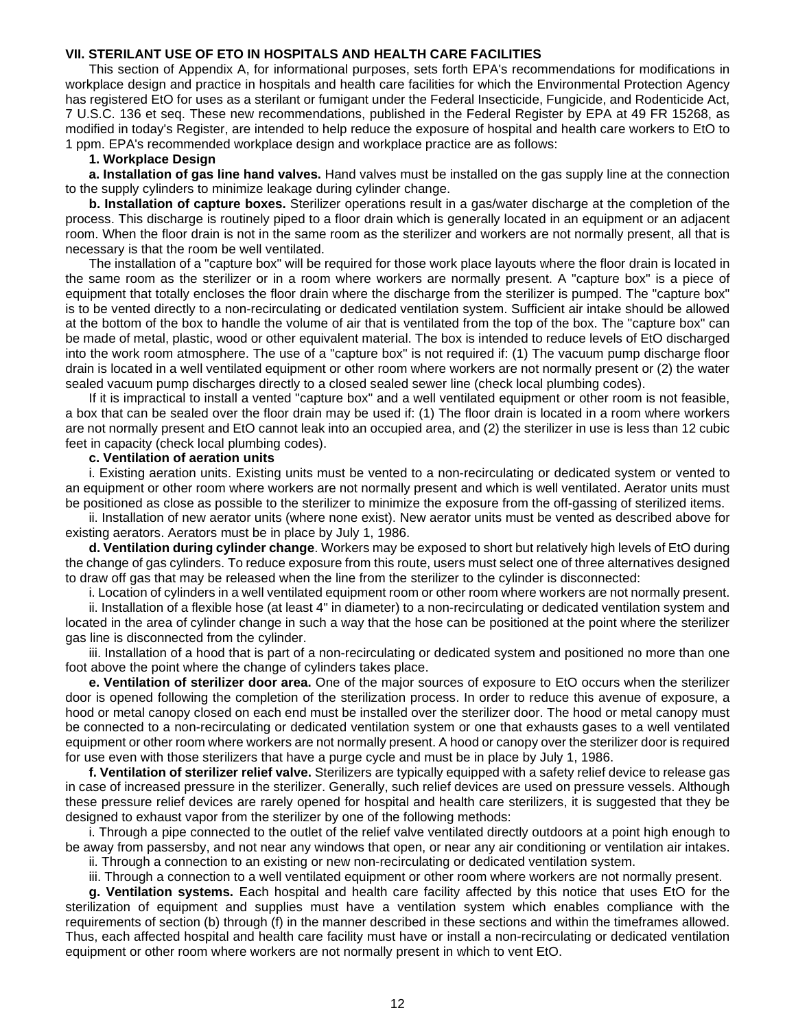#### **VII. STERILANT USE OF ETO IN HOSPITALS AND HEALTH CARE FACILITIES**

This section of Appendix A, for informational purposes, sets forth EPA's recommendations for modifications in workplace design and practice in hospitals and health care facilities for which the Environmental Protection Agency has registered EtO for uses as a sterilant or fumigant under the Federal Insecticide, Fungicide, and Rodenticide Act, 7 U.S.C. 136 et seq. These new recommendations, published in the Federal Register by EPA at 49 FR 15268, as modified in today's Register, are intended to help reduce the exposure of hospital and health care workers to EtO to 1 ppm. EPA's recommended workplace design and workplace practice are as follows:

#### **1. Workplace Design**

**a. Installation of gas line hand valves.** Hand valves must be installed on the gas supply line at the connection to the supply cylinders to minimize leakage during cylinder change.

**b. Installation of capture boxes.** Sterilizer operations result in a gas/water discharge at the completion of the process. This discharge is routinely piped to a floor drain which is generally located in an equipment or an adjacent room. When the floor drain is not in the same room as the sterilizer and workers are not normally present, all that is necessary is that the room be well ventilated.

The installation of a "capture box" will be required for those work place layouts where the floor drain is located in the same room as the sterilizer or in a room where workers are normally present. A "capture box" is a piece of equipment that totally encloses the floor drain where the discharge from the sterilizer is pumped. The "capture box" is to be vented directly to a non-recirculating or dedicated ventilation system. Sufficient air intake should be allowed at the bottom of the box to handle the volume of air that is ventilated from the top of the box. The "capture box" can be made of metal, plastic, wood or other equivalent material. The box is intended to reduce levels of EtO discharged into the work room atmosphere. The use of a "capture box" is not required if: (1) The vacuum pump discharge floor drain is located in a well ventilated equipment or other room where workers are not normally present or (2) the water sealed vacuum pump discharges directly to a closed sealed sewer line (check local plumbing codes).

If it is impractical to install a vented "capture box" and a well ventilated equipment or other room is not feasible, a box that can be sealed over the floor drain may be used if: (1) The floor drain is located in a room where workers are not normally present and EtO cannot leak into an occupied area, and (2) the sterilizer in use is less than 12 cubic feet in capacity (check local plumbing codes).

#### **c. Ventilation of aeration units**

i. Existing aeration units. Existing units must be vented to a non-recirculating or dedicated system or vented to an equipment or other room where workers are not normally present and which is well ventilated. Aerator units must be positioned as close as possible to the sterilizer to minimize the exposure from the off-gassing of sterilized items.

ii. Installation of new aerator units (where none exist). New aerator units must be vented as described above for existing aerators. Aerators must be in place by July 1, 1986.

**d. Ventilation during cylinder change**. Workers may be exposed to short but relatively high levels of EtO during the change of gas cylinders. To reduce exposure from this route, users must select one of three alternatives designed to draw off gas that may be released when the line from the sterilizer to the cylinder is disconnected:

i. Location of cylinders in a well ventilated equipment room or other room where workers are not normally present. ii. Installation of a flexible hose (at least 4" in diameter) to a non-recirculating or dedicated ventilation system and located in the area of cylinder change in such a way that the hose can be positioned at the point where the sterilizer gas line is disconnected from the cylinder.

iii. Installation of a hood that is part of a non-recirculating or dedicated system and positioned no more than one foot above the point where the change of cylinders takes place.

**e. Ventilation of sterilizer door area.** One of the major sources of exposure to EtO occurs when the sterilizer door is opened following the completion of the sterilization process. In order to reduce this avenue of exposure, a hood or metal canopy closed on each end must be installed over the sterilizer door. The hood or metal canopy must be connected to a non-recirculating or dedicated ventilation system or one that exhausts gases to a well ventilated equipment or other room where workers are not normally present. A hood or canopy over the sterilizer door is required for use even with those sterilizers that have a purge cycle and must be in place by July 1, 1986.

**f. Ventilation of sterilizer relief valve.** Sterilizers are typically equipped with a safety relief device to release gas in case of increased pressure in the sterilizer. Generally, such relief devices are used on pressure vessels. Although these pressure relief devices are rarely opened for hospital and health care sterilizers, it is suggested that they be designed to exhaust vapor from the sterilizer by one of the following methods:

i. Through a pipe connected to the outlet of the relief valve ventilated directly outdoors at a point high enough to be away from passersby, and not near any windows that open, or near any air conditioning or ventilation air intakes.

ii. Through a connection to an existing or new non-recirculating or dedicated ventilation system.

iii. Through a connection to a well ventilated equipment or other room where workers are not normally present.

**g. Ventilation systems.** Each hospital and health care facility affected by this notice that uses EtO for the sterilization of equipment and supplies must have a ventilation system which enables compliance with the requirements of section (b) through (f) in the manner described in these sections and within the timeframes allowed. Thus, each affected hospital and health care facility must have or install a non-recirculating or dedicated ventilation equipment or other room where workers are not normally present in which to vent EtO.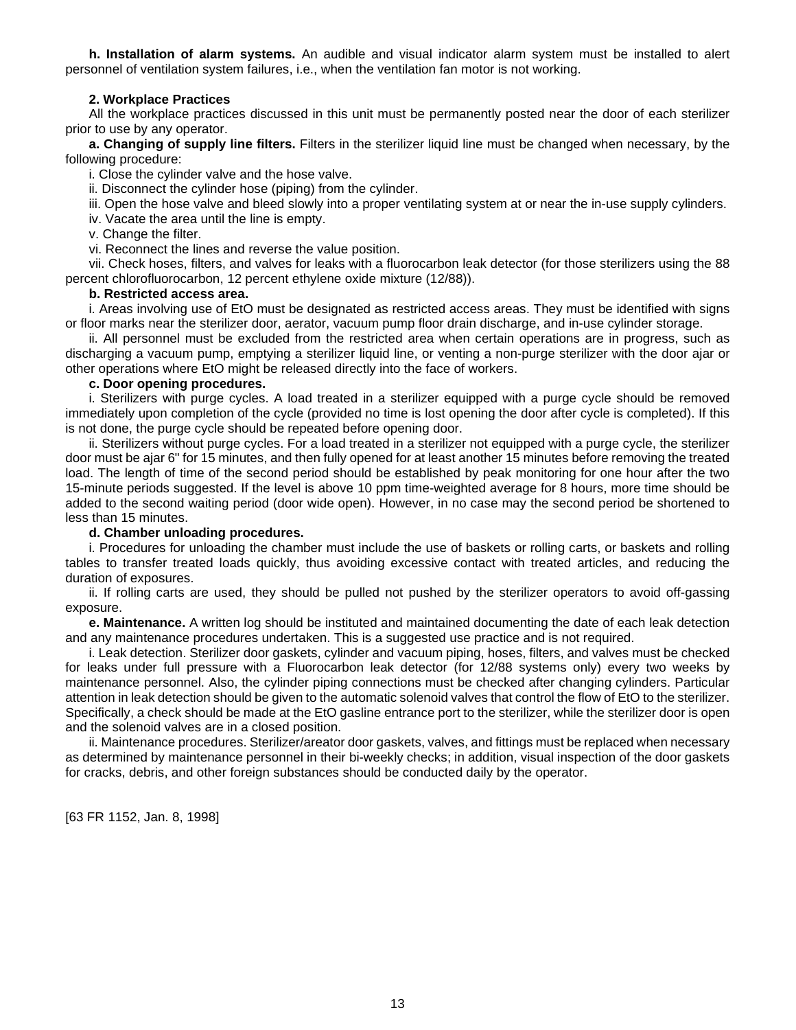**h. Installation of alarm systems.** An audible and visual indicator alarm system must be installed to alert personnel of ventilation system failures, i.e., when the ventilation fan motor is not working.

#### **2. Workplace Practices**

All the workplace practices discussed in this unit must be permanently posted near the door of each sterilizer prior to use by any operator.

**a. Changing of supply line filters.** Filters in the sterilizer liquid line must be changed when necessary, by the following procedure:

i. Close the cylinder valve and the hose valve.

ii. Disconnect the cylinder hose (piping) from the cylinder.

iii. Open the hose valve and bleed slowly into a proper ventilating system at or near the in-use supply cylinders.

iv. Vacate the area until the line is empty.

v. Change the filter.

vi. Reconnect the lines and reverse the value position.

vii. Check hoses, filters, and valves for leaks with a fluorocarbon leak detector (for those sterilizers using the 88 percent chlorofluorocarbon, 12 percent ethylene oxide mixture (12/88)).

#### **b. Restricted access area.**

i. Areas involving use of EtO must be designated as restricted access areas. They must be identified with signs or floor marks near the sterilizer door, aerator, vacuum pump floor drain discharge, and in-use cylinder storage.

ii. All personnel must be excluded from the restricted area when certain operations are in progress, such as discharging a vacuum pump, emptying a sterilizer liquid line, or venting a non-purge sterilizer with the door ajar or other operations where EtO might be released directly into the face of workers.

#### **c. Door opening procedures.**

i. Sterilizers with purge cycles. A load treated in a sterilizer equipped with a purge cycle should be removed immediately upon completion of the cycle (provided no time is lost opening the door after cycle is completed). If this is not done, the purge cycle should be repeated before opening door.

ii. Sterilizers without purge cycles. For a load treated in a sterilizer not equipped with a purge cycle, the sterilizer door must be ajar 6" for 15 minutes, and then fully opened for at least another 15 minutes before removing the treated load. The length of time of the second period should be established by peak monitoring for one hour after the two 15-minute periods suggested. If the level is above 10 ppm time-weighted average for 8 hours, more time should be added to the second waiting period (door wide open). However, in no case may the second period be shortened to less than 15 minutes.

#### **d. Chamber unloading procedures.**

i. Procedures for unloading the chamber must include the use of baskets or rolling carts, or baskets and rolling tables to transfer treated loads quickly, thus avoiding excessive contact with treated articles, and reducing the duration of exposures.

ii. If rolling carts are used, they should be pulled not pushed by the sterilizer operators to avoid off-gassing exposure.

**e. Maintenance.** A written log should be instituted and maintained documenting the date of each leak detection and any maintenance procedures undertaken. This is a suggested use practice and is not required.

i. Leak detection. Sterilizer door gaskets, cylinder and vacuum piping, hoses, filters, and valves must be checked for leaks under full pressure with a Fluorocarbon leak detector (for 12/88 systems only) every two weeks by maintenance personnel. Also, the cylinder piping connections must be checked after changing cylinders. Particular attention in leak detection should be given to the automatic solenoid valves that control the flow of EtO to the sterilizer. Specifically, a check should be made at the EtO gasline entrance port to the sterilizer, while the sterilizer door is open and the solenoid valves are in a closed position.

ii. Maintenance procedures. Sterilizer/areator door gaskets, valves, and fittings must be replaced when necessary as determined by maintenance personnel in their bi-weekly checks; in addition, visual inspection of the door gaskets for cracks, debris, and other foreign substances should be conducted daily by the operator.

[63 FR 1152, Jan. 8, 1998]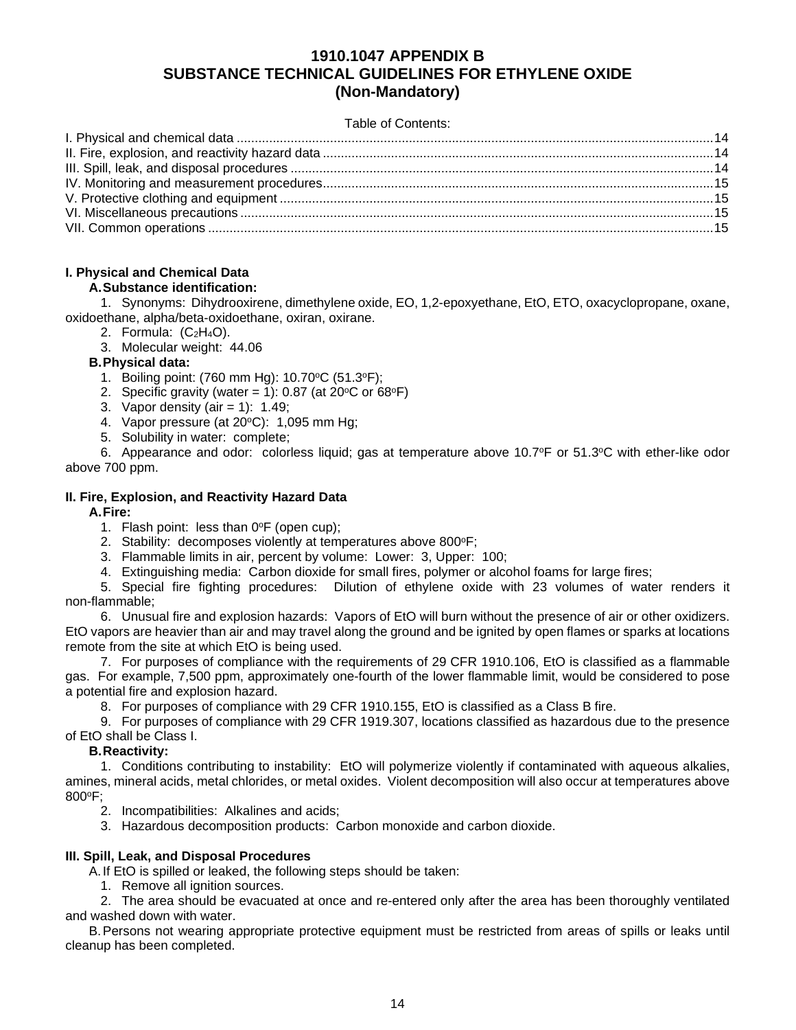# **1910.1047 APPENDIX B SUBSTANCE TECHNICAL GUIDELINES FOR ETHYLENE OXIDE (Non-Mandatory)**

#### Table of Contents:

<span id="page-13-2"></span><span id="page-13-1"></span><span id="page-13-0"></span>

### <span id="page-13-3"></span>**I. Physical and Chemical Data**

#### **A. Substance identification:**

1. Synonyms: Dihydrooxirene, dimethylene oxide, EO, 1,2-epoxyethane, EtO, ETO, oxacyclopropane, oxane, oxidoethane, alpha/beta-oxidoethane, oxiran, oxirane.

- 2. Formula:  $(C_2H_4O)$ .
- 3. Molecular weight: 44.06

### **B. Physical data:**

- 1. Boiling point: (760 mm Hg): 10.70°C (51.3°F);
- 2. Specific gravity (water = 1):  $0.87$  (at  $20^{\circ}$ C or  $68^{\circ}$ F)
- 3. Vapor density (air  $= 1$ ): 1.49;
- 4. Vapor pressure (at  $20^{\circ}$ C): 1,095 mm Hg;
- 5. Solubility in water: complete;

6. Appearance and odor: colorless liquid; gas at temperature above 10.7°F or 51.3°C with ether-like odor above 700 ppm.

### <span id="page-13-4"></span>**II. Fire, Explosion, and Reactivity Hazard Data**

**A. Fire:** 

- 1. Flash point: less than  $0^{\circ}F$  (open cup);
- 2. Stability: decomposes violently at temperatures above 800°F;
- 3. Flammable limits in air, percent by volume: Lower: 3, Upper: 100;
- 4. Extinguishing media: Carbon dioxide for small fires, polymer or alcohol foams for large fires;

5. Special fire fighting procedures: Dilution of ethylene oxide with 23 volumes of water renders it non-flammable;

6. Unusual fire and explosion hazards: Vapors of EtO will burn without the presence of air or other oxidizers. EtO vapors are heavier than air and may travel along the ground and be ignited by open flames or sparks at locations remote from the site at which EtO is being used.

7. For purposes of compliance with the requirements of 29 CFR 1910.106, EtO is classified as a flammable gas. For example, 7,500 ppm, approximately one-fourth of the lower flammable limit, would be considered to pose a potential fire and explosion hazard.

8. For purposes of compliance with 29 CFR 1910.155, EtO is classified as a Class B fire.

9. For purposes of compliance with 29 CFR 1919.307, locations classified as hazardous due to the presence of EtO shall be Class I.

#### **B. Reactivity:**

1. Conditions contributing to instability: EtO will polymerize violently if contaminated with aqueous alkalies, amines, mineral acids, metal chlorides, or metal oxides. Violent decomposition will also occur at temperatures above 800<sup>o</sup>F;

- 2. Incompatibilities: Alkalines and acids;
- 3. Hazardous decomposition products: Carbon monoxide and carbon dioxide.

#### <span id="page-13-5"></span>**III. Spill, Leak, and Disposal Procedures**

A. If EtO is spilled or leaked, the following steps should be taken:

1. Remove all ignition sources.

2. The area should be evacuated at once and re-entered only after the area has been thoroughly ventilated and washed down with water.

B. Persons not wearing appropriate protective equipment must be restricted from areas of spills or leaks until cleanup has been completed.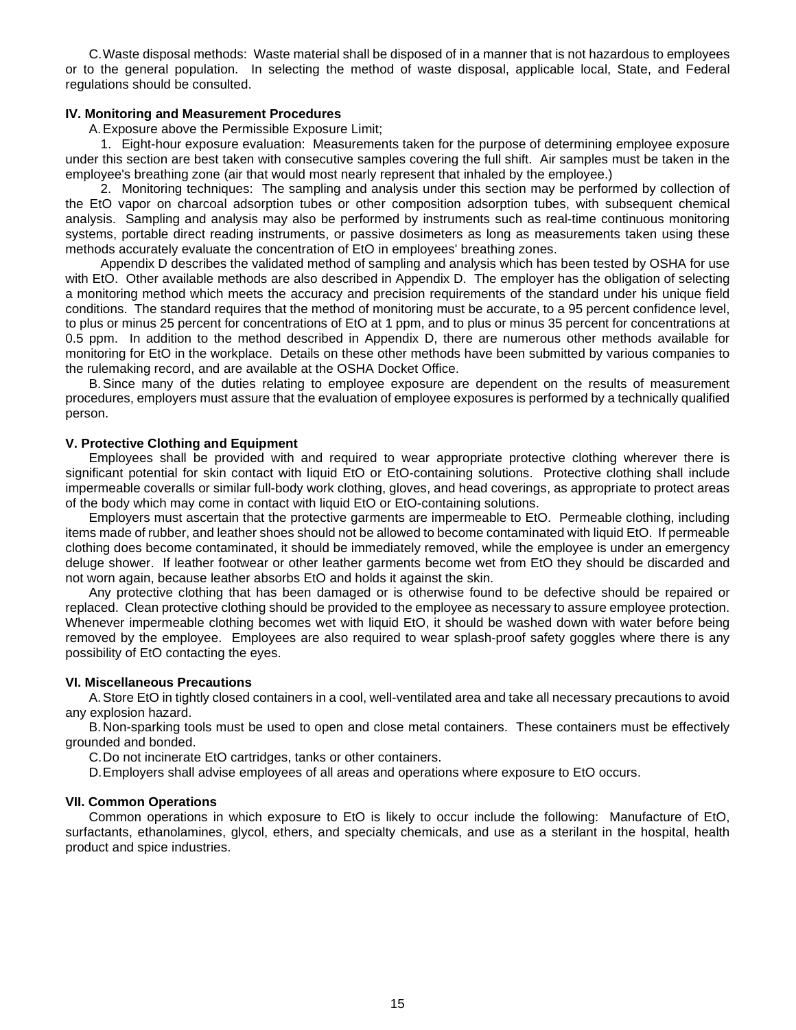C. Waste disposal methods: Waste material shall be disposed of in a manner that is not hazardous to employees or to the general population. In selecting the method of waste disposal, applicable local, State, and Federal regulations should be consulted.

#### <span id="page-14-0"></span>**IV. Monitoring and Measurement Procedures**

A. Exposure above the Permissible Exposure Limit;

1. Eight-hour exposure evaluation: Measurements taken for the purpose of determining employee exposure under this section are best taken with consecutive samples covering the full shift. Air samples must be taken in the employee's breathing zone (air that would most nearly represent that inhaled by the employee.)

2. Monitoring techniques: The sampling and analysis under this section may be performed by collection of the EtO vapor on charcoal adsorption tubes or other composition adsorption tubes, with subsequent chemical analysis. Sampling and analysis may also be performed by instruments such as real-time continuous monitoring systems, portable direct reading instruments, or passive dosimeters as long as measurements taken using these methods accurately evaluate the concentration of EtO in employees' breathing zones.

Appendix D describes the validated method of sampling and analysis which has been tested by OSHA for use with EtO. Other available methods are also described in Appendix D. The employer has the obligation of selecting a monitoring method which meets the accuracy and precision requirements of the standard under his unique field conditions. The standard requires that the method of monitoring must be accurate, to a 95 percent confidence level, to plus or minus 25 percent for concentrations of EtO at 1 ppm, and to plus or minus 35 percent for concentrations at 0.5 ppm. In addition to the method described in Appendix D, there are numerous other methods available for monitoring for EtO in the workplace. Details on these other methods have been submitted by various companies to the rulemaking record, and are available at the OSHA Docket Office.

B. Since many of the duties relating to employee exposure are dependent on the results of measurement procedures, employers must assure that the evaluation of employee exposures is performed by a technically qualified person.

#### <span id="page-14-1"></span>**V. Protective Clothing and Equipment**

Employees shall be provided with and required to wear appropriate protective clothing wherever there is significant potential for skin contact with liquid EtO or EtO-containing solutions. Protective clothing shall include impermeable coveralls or similar full-body work clothing, gloves, and head coverings, as appropriate to protect areas of the body which may come in contact with liquid EtO or EtO-containing solutions.

Employers must ascertain that the protective garments are impermeable to EtO. Permeable clothing, including items made of rubber, and leather shoes should not be allowed to become contaminated with liquid EtO. If permeable clothing does become contaminated, it should be immediately removed, while the employee is under an emergency deluge shower. If leather footwear or other leather garments become wet from EtO they should be discarded and not worn again, because leather absorbs EtO and holds it against the skin.

Any protective clothing that has been damaged or is otherwise found to be defective should be repaired or replaced. Clean protective clothing should be provided to the employee as necessary to assure employee protection. Whenever impermeable clothing becomes wet with liquid EtO, it should be washed down with water before being removed by the employee. Employees are also required to wear splash-proof safety goggles where there is any possibility of EtO contacting the eyes.

#### <span id="page-14-2"></span>**VI. Miscellaneous Precautions**

A. Store EtO in tightly closed containers in a cool, well-ventilated area and take all necessary precautions to avoid any explosion hazard.

B. Non-sparking tools must be used to open and close metal containers. These containers must be effectively grounded and bonded.

C. Do not incinerate EtO cartridges, tanks or other containers.

D. Employers shall advise employees of all areas and operations where exposure to EtO occurs.

#### <span id="page-14-3"></span>**VII. Common Operations**

Common operations in which exposure to EtO is likely to occur include the following: Manufacture of EtO, surfactants, ethanolamines, glycol, ethers, and specialty chemicals, and use as a sterilant in the hospital, health product and spice industries.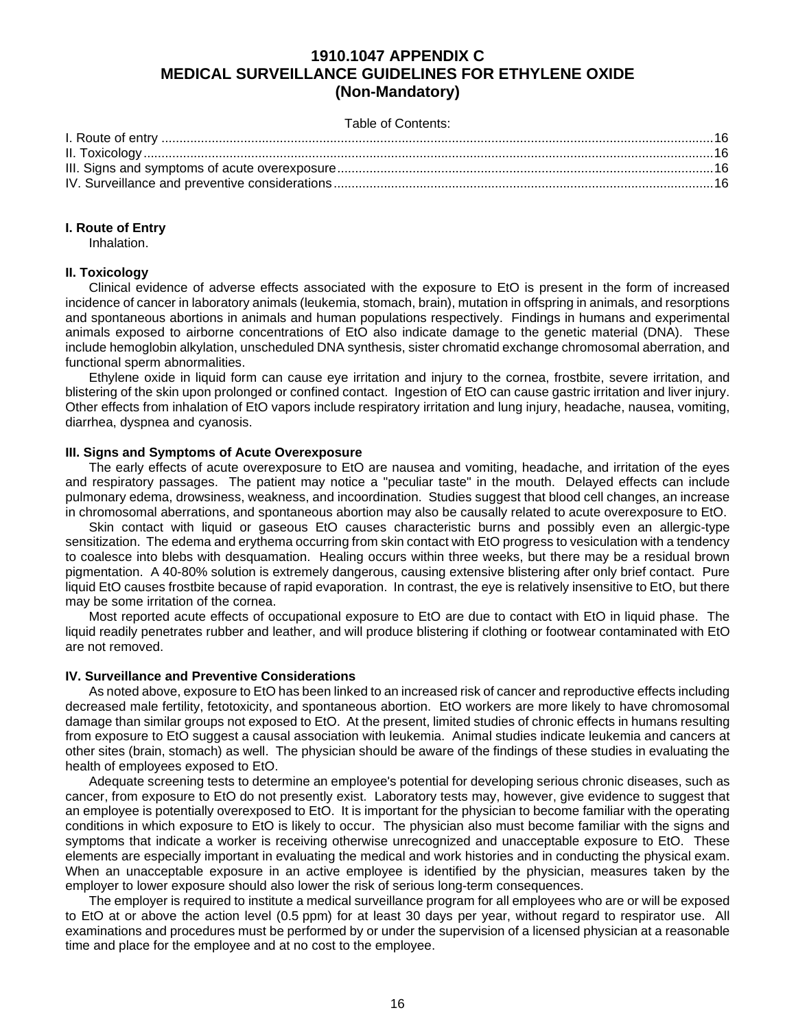# **1910.1047 APPENDIX C MEDICAL SURVEILLANCE GUIDELINES FOR ETHYLENE OXIDE (Non-Mandatory)**

#### Table of Contents:

<span id="page-15-2"></span><span id="page-15-1"></span><span id="page-15-0"></span>

#### <span id="page-15-3"></span>**I. Route of Entry**

Inhalation.

#### <span id="page-15-4"></span>**II. Toxicology**

Clinical evidence of adverse effects associated with the exposure to EtO is present in the form of increased incidence of cancer in laboratory animals (leukemia, stomach, brain), mutation in offspring in animals, and resorptions and spontaneous abortions in animals and human populations respectively. Findings in humans and experimental animals exposed to airborne concentrations of EtO also indicate damage to the genetic material (DNA). These include hemoglobin alkylation, unscheduled DNA synthesis, sister chromatid exchange chromosomal aberration, and functional sperm abnormalities.

Ethylene oxide in liquid form can cause eye irritation and injury to the cornea, frostbite, severe irritation, and blistering of the skin upon prolonged or confined contact. Ingestion of EtO can cause gastric irritation and liver injury. Other effects from inhalation of EtO vapors include respiratory irritation and lung injury, headache, nausea, vomiting, diarrhea, dyspnea and cyanosis.

#### <span id="page-15-5"></span>**III. Signs and Symptoms of Acute Overexposure**

The early effects of acute overexposure to EtO are nausea and vomiting, headache, and irritation of the eyes and respiratory passages. The patient may notice a "peculiar taste" in the mouth. Delayed effects can include pulmonary edema, drowsiness, weakness, and incoordination. Studies suggest that blood cell changes, an increase in chromosomal aberrations, and spontaneous abortion may also be causally related to acute overexposure to EtO.

Skin contact with liquid or gaseous EtO causes characteristic burns and possibly even an allergic-type sensitization. The edema and erythema occurring from skin contact with EtO progress to vesiculation with a tendency to coalesce into blebs with desquamation. Healing occurs within three weeks, but there may be a residual brown pigmentation. A 40-80% solution is extremely dangerous, causing extensive blistering after only brief contact. Pure liquid EtO causes frostbite because of rapid evaporation. In contrast, the eye is relatively insensitive to EtO, but there may be some irritation of the cornea.

Most reported acute effects of occupational exposure to EtO are due to contact with EtO in liquid phase. The liquid readily penetrates rubber and leather, and will produce blistering if clothing or footwear contaminated with EtO are not removed.

#### <span id="page-15-6"></span>**IV. Surveillance and Preventive Considerations**

As noted above, exposure to EtO has been linked to an increased risk of cancer and reproductive effects including decreased male fertility, fetotoxicity, and spontaneous abortion. EtO workers are more likely to have chromosomal damage than similar groups not exposed to EtO. At the present, limited studies of chronic effects in humans resulting from exposure to EtO suggest a causal association with leukemia. Animal studies indicate leukemia and cancers at other sites (brain, stomach) as well. The physician should be aware of the findings of these studies in evaluating the health of employees exposed to EtO.

Adequate screening tests to determine an employee's potential for developing serious chronic diseases, such as cancer, from exposure to EtO do not presently exist. Laboratory tests may, however, give evidence to suggest that an employee is potentially overexposed to EtO. It is important for the physician to become familiar with the operating conditions in which exposure to EtO is likely to occur. The physician also must become familiar with the signs and symptoms that indicate a worker is receiving otherwise unrecognized and unacceptable exposure to EtO. These elements are especially important in evaluating the medical and work histories and in conducting the physical exam. When an unacceptable exposure in an active employee is identified by the physician, measures taken by the employer to lower exposure should also lower the risk of serious long-term consequences.

The employer is required to institute a medical surveillance program for all employees who are or will be exposed to EtO at or above the action level (0.5 ppm) for at least 30 days per year, without regard to respirator use. All examinations and procedures must be performed by or under the supervision of a licensed physician at a reasonable time and place for the employee and at no cost to the employee.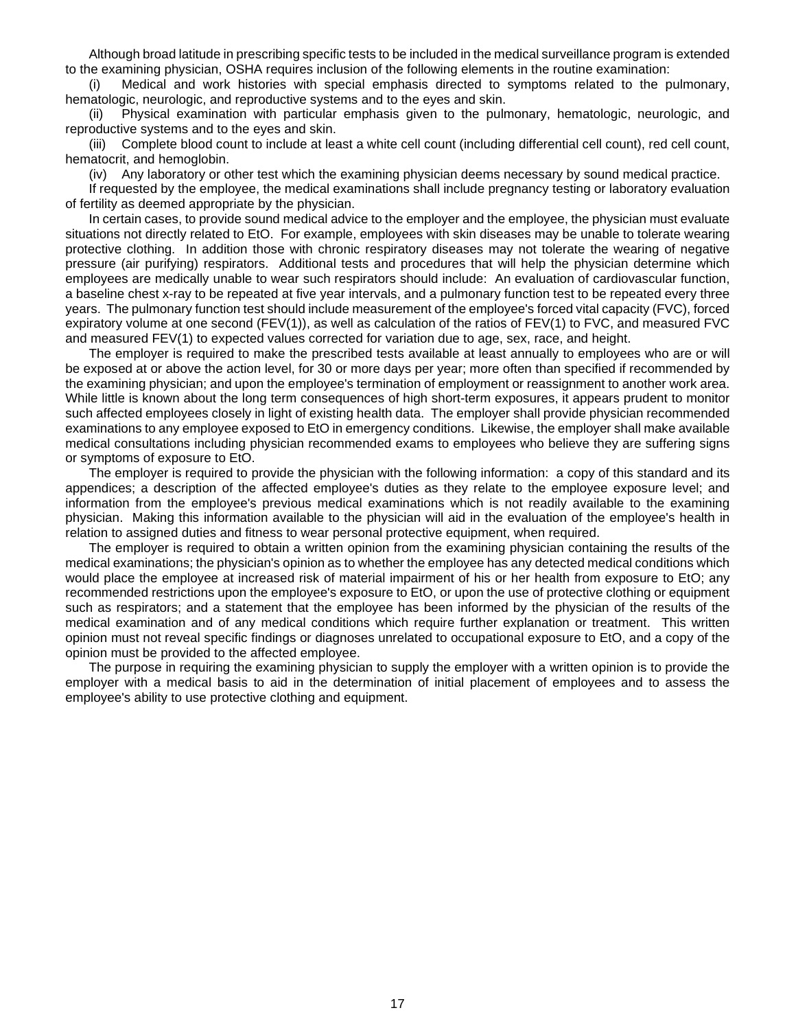Although broad latitude in prescribing specific tests to be included in the medical surveillance program is extended to the examining physician, OSHA requires inclusion of the following elements in the routine examination:

(i) Medical and work histories with special emphasis directed to symptoms related to the pulmonary, hematologic, neurologic, and reproductive systems and to the eyes and skin.

(ii) Physical examination with particular emphasis given to the pulmonary, hematologic, neurologic, and reproductive systems and to the eyes and skin.

(iii) Complete blood count to include at least a white cell count (including differential cell count), red cell count, hematocrit, and hemoglobin.

(iv) Any laboratory or other test which the examining physician deems necessary by sound medical practice.

If requested by the employee, the medical examinations shall include pregnancy testing or laboratory evaluation of fertility as deemed appropriate by the physician.

In certain cases, to provide sound medical advice to the employer and the employee, the physician must evaluate situations not directly related to EtO. For example, employees with skin diseases may be unable to tolerate wearing protective clothing. In addition those with chronic respiratory diseases may not tolerate the wearing of negative pressure (air purifying) respirators. Additional tests and procedures that will help the physician determine which employees are medically unable to wear such respirators should include: An evaluation of cardiovascular function, a baseline chest x-ray to be repeated at five year intervals, and a pulmonary function test to be repeated every three years. The pulmonary function test should include measurement of the employee's forced vital capacity (FVC), forced expiratory volume at one second (FEV(1)), as well as calculation of the ratios of FEV(1) to FVC, and measured FVC and measured FEV(1) to expected values corrected for variation due to age, sex, race, and height.

The employer is required to make the prescribed tests available at least annually to employees who are or will be exposed at or above the action level, for 30 or more days per year; more often than specified if recommended by the examining physician; and upon the employee's termination of employment or reassignment to another work area. While little is known about the long term consequences of high short-term exposures, it appears prudent to monitor such affected employees closely in light of existing health data. The employer shall provide physician recommended examinations to any employee exposed to EtO in emergency conditions. Likewise, the employer shall make available medical consultations including physician recommended exams to employees who believe they are suffering signs or symptoms of exposure to EtO.

The employer is required to provide the physician with the following information: a copy of this standard and its appendices; a description of the affected employee's duties as they relate to the employee exposure level; and information from the employee's previous medical examinations which is not readily available to the examining physician. Making this information available to the physician will aid in the evaluation of the employee's health in relation to assigned duties and fitness to wear personal protective equipment, when required.

The employer is required to obtain a written opinion from the examining physician containing the results of the medical examinations; the physician's opinion as to whether the employee has any detected medical conditions which would place the employee at increased risk of material impairment of his or her health from exposure to EtO; any recommended restrictions upon the employee's exposure to EtO, or upon the use of protective clothing or equipment such as respirators; and a statement that the employee has been informed by the physician of the results of the medical examination and of any medical conditions which require further explanation or treatment. This written opinion must not reveal specific findings or diagnoses unrelated to occupational exposure to EtO, and a copy of the opinion must be provided to the affected employee.

The purpose in requiring the examining physician to supply the employer with a written opinion is to provide the employer with a medical basis to aid in the determination of initial placement of employees and to assess the employee's ability to use protective clothing and equipment.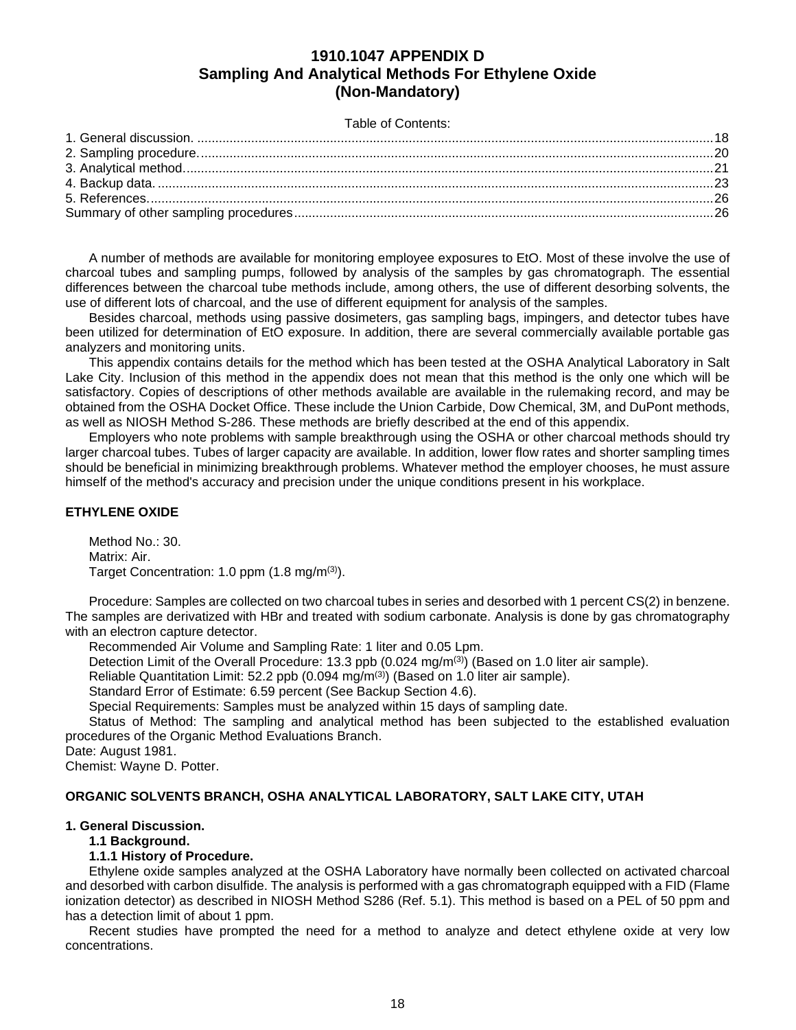# **1910.1047 APPENDIX D Sampling And Analytical Methods For Ethylene Oxide (Non-Mandatory)**

#### Table of Contents:

<span id="page-17-2"></span><span id="page-17-1"></span><span id="page-17-0"></span>

A number of methods are available for monitoring employee exposures to EtO. Most of these involve the use of charcoal tubes and sampling pumps, followed by analysis of the samples by gas chromatograph. The essential differences between the charcoal tube methods include, among others, the use of different desorbing solvents, the use of different lots of charcoal, and the use of different equipment for analysis of the samples.

Besides charcoal, methods using passive dosimeters, gas sampling bags, impingers, and detector tubes have been utilized for determination of EtO exposure. In addition, there are several commercially available portable gas analyzers and monitoring units.

This appendix contains details for the method which has been tested at the OSHA Analytical Laboratory in Salt Lake City. Inclusion of this method in the appendix does not mean that this method is the only one which will be satisfactory. Copies of descriptions of other methods available are available in the rulemaking record, and may be obtained from the OSHA Docket Office. These include the Union Carbide, Dow Chemical, 3M, and DuPont methods, as well as NIOSH Method S-286. These methods are briefly described at the end of this appendix.

Employers who note problems with sample breakthrough using the OSHA or other charcoal methods should try larger charcoal tubes. Tubes of larger capacity are available. In addition, lower flow rates and shorter sampling times should be beneficial in minimizing breakthrough problems. Whatever method the employer chooses, he must assure himself of the method's accuracy and precision under the unique conditions present in his workplace.

#### **ETHYLENE OXIDE**

Method No.: 30. Matrix: Air. Target Concentration: 1.0 ppm (1.8 mg/m(3)).

Procedure: Samples are collected on two charcoal tubes in series and desorbed with 1 percent CS(2) in benzene. The samples are derivatized with HBr and treated with sodium carbonate. Analysis is done by gas chromatography with an electron capture detector.

Recommended Air Volume and Sampling Rate: 1 liter and 0.05 Lpm.

Detection Limit of the Overall Procedure: 13.3 ppb (0.024 mg/m<sup>(3)</sup>) (Based on 1.0 liter air sample).

Reliable Quantitation Limit: 52.2 ppb  $(0.094 \text{ mg/m}^{(3)})$  (Based on 1.0 liter air sample).

Standard Error of Estimate: 6.59 percent (See Backup Section 4.6).

Special Requirements: Samples must be analyzed within 15 days of sampling date.

Status of Method: The sampling and analytical method has been subjected to the established evaluation procedures of the Organic Method Evaluations Branch.

Date: August 1981.

Chemist: Wayne D. Potter.

#### **ORGANIC SOLVENTS BRANCH, OSHA ANALYTICAL LABORATORY, SALT LAKE CITY, UTAH**

#### <span id="page-17-3"></span>**1. General Discussion.**

#### **1.1 Background.**

#### **1.1.1 History of Procedure.**

Ethylene oxide samples analyzed at the OSHA Laboratory have normally been collected on activated charcoal and desorbed with carbon disulfide. The analysis is performed with a gas chromatograph equipped with a FID (Flame ionization detector) as described in NIOSH Method S286 (Ref. 5.1). This method is based on a PEL of 50 ppm and has a detection limit of about 1 ppm.

Recent studies have prompted the need for a method to analyze and detect ethylene oxide at very low concentrations.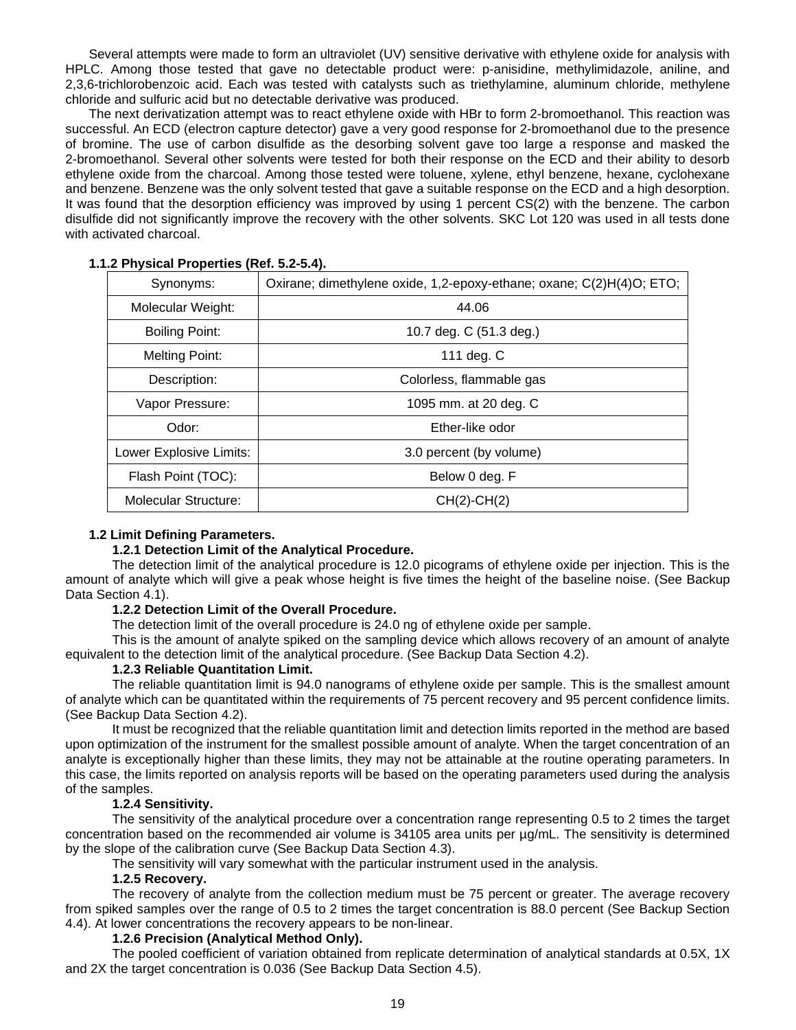Several attempts were made to form an ultraviolet (UV) sensitive derivative with ethylene oxide for analysis with HPLC. Among those tested that gave no detectable product were: p-anisidine, methylimidazole, aniline, and 2,3,6-trichlorobenzoic acid. Each was tested with catalysts such as triethylamine, aluminum chloride, methylene chloride and sulfuric acid but no detectable derivative was produced.

The next derivatization attempt was to react ethylene oxide with HBr to form 2-bromoethanol. This reaction was successful. An ECD (electron capture detector) gave a very good response for 2-bromoethanol due to the presence of bromine. The use of carbon disulfide as the desorbing solvent gave too large a response and masked the 2-bromoethanol. Several other solvents were tested for both their response on the ECD and their ability to desorb ethylene oxide from the charcoal. Among those tested were toluene, xylene, ethyl benzene, hexane, cyclohexane and benzene. Benzene was the only solvent tested that gave a suitable response on the ECD and a high desorption. It was found that the desorption efficiency was improved by using 1 percent CS(2) with the benzene. The carbon disulfide did not significantly improve the recovery with the other solvents. SKC Lot 120 was used in all tests done with activated charcoal.

| Synonyms:                   | Oxirane; dimethylene oxide, 1,2-epoxy-ethane; oxane; C(2)H(4)O; ETO; |
|-----------------------------|----------------------------------------------------------------------|
| Molecular Weight:           | 44.06                                                                |
| <b>Boiling Point:</b>       | 10.7 deg. C (51.3 deg.)                                              |
| Melting Point:              | 111 deg. C                                                           |
| Description:                | Colorless, flammable gas                                             |
| Vapor Pressure:             | 1095 mm. at 20 deg. C                                                |
| Odor:                       | Ether-like odor                                                      |
| Lower Explosive Limits:     | 3.0 percent (by volume)                                              |
| Flash Point (TOC):          | Below 0 deg. F                                                       |
| <b>Molecular Structure:</b> | $CH(2)-CH(2)$                                                        |

### **1.1.2 Physical Properties (Ref. 5.2-5.4).**

#### **1.2 Limit Defining Parameters.**

#### **1.2.1 Detection Limit of the Analytical Procedure.**

The detection limit of the analytical procedure is 12.0 picograms of ethylene oxide per injection. This is the amount of analyte which will give a peak whose height is five times the height of the baseline noise. (See Backup Data Section 4.1).

#### **1.2.2 Detection Limit of the Overall Procedure.**

The detection limit of the overall procedure is 24.0 ng of ethylene oxide per sample.

This is the amount of analyte spiked on the sampling device which allows recovery of an amount of analyte equivalent to the detection limit of the analytical procedure. (See Backup Data Section 4.2).

#### **1.2.3 Reliable Quantitation Limit.**

The reliable quantitation limit is 94.0 nanograms of ethylene oxide per sample. This is the smallest amount of analyte which can be quantitated within the requirements of 75 percent recovery and 95 percent confidence limits. (See Backup Data Section 4.2).

It must be recognized that the reliable quantitation limit and detection limits reported in the method are based upon optimization of the instrument for the smallest possible amount of analyte. When the target concentration of an analyte is exceptionally higher than these limits, they may not be attainable at the routine operating parameters. In this case, the limits reported on analysis reports will be based on the operating parameters used during the analysis of the samples.

#### **1.2.4 Sensitivity.**

The sensitivity of the analytical procedure over a concentration range representing 0.5 to 2 times the target concentration based on the recommended air volume is 34105 area units per µg/mL. The sensitivity is determined by the slope of the calibration curve (See Backup Data Section 4.3).

The sensitivity will vary somewhat with the particular instrument used in the analysis.

### **1.2.5 Recovery.**

The recovery of analyte from the collection medium must be 75 percent or greater. The average recovery from spiked samples over the range of 0.5 to 2 times the target concentration is 88.0 percent (See Backup Section 4.4). At lower concentrations the recovery appears to be non-linear.

### **1.2.6 Precision (Analytical Method Only).**

The pooled coefficient of variation obtained from replicate determination of analytical standards at 0.5X, 1X and 2X the target concentration is 0.036 (See Backup Data Section 4.5).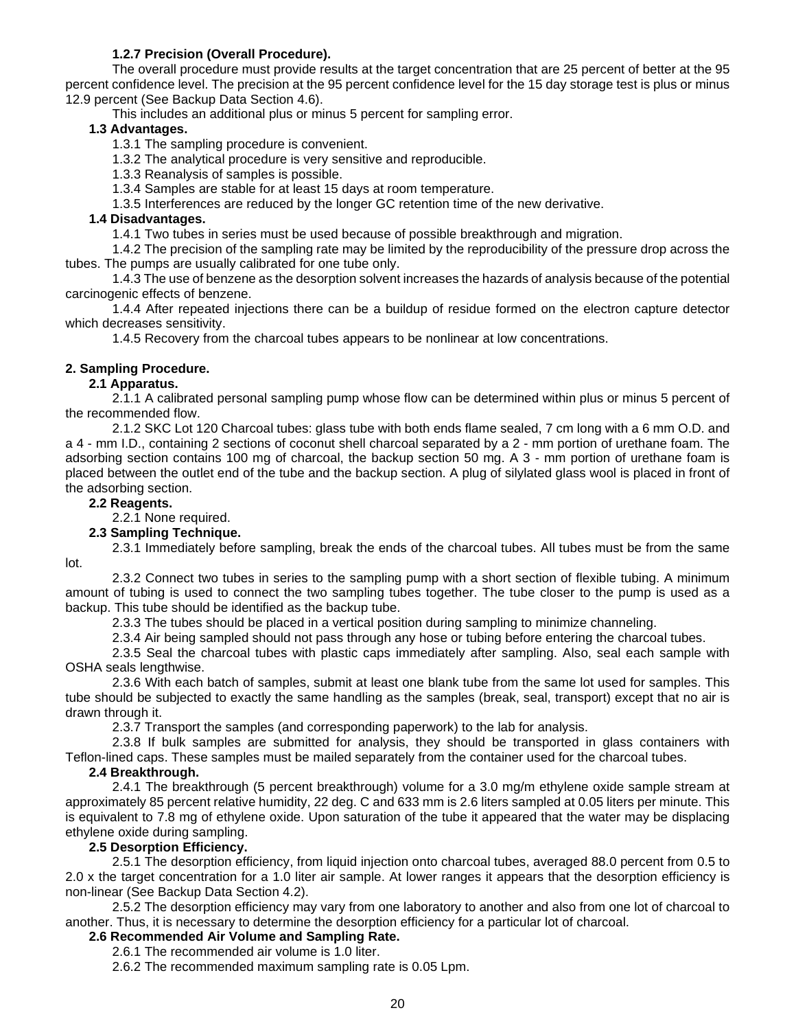### **1.2.7 Precision (Overall Procedure).**

The overall procedure must provide results at the target concentration that are 25 percent of better at the 95 percent confidence level. The precision at the 95 percent confidence level for the 15 day storage test is plus or minus 12.9 percent (See Backup Data Section 4.6).

This includes an additional plus or minus 5 percent for sampling error.

### **1.3 Advantages.**

1.3.1 The sampling procedure is convenient.

1.3.2 The analytical procedure is very sensitive and reproducible.

1.3.3 Reanalysis of samples is possible.

1.3.4 Samples are stable for at least 15 days at room temperature.

1.3.5 Interferences are reduced by the longer GC retention time of the new derivative.

### **1.4 Disadvantages.**

1.4.1 Two tubes in series must be used because of possible breakthrough and migration.

1.4.2 The precision of the sampling rate may be limited by the reproducibility of the pressure drop across the tubes. The pumps are usually calibrated for one tube only.

1.4.3 The use of benzene as the desorption solvent increases the hazards of analysis because of the potential carcinogenic effects of benzene.

1.4.4 After repeated injections there can be a buildup of residue formed on the electron capture detector which decreases sensitivity.

1.4.5 Recovery from the charcoal tubes appears to be nonlinear at low concentrations.

### <span id="page-19-0"></span>**2. Sampling Procedure.**

### **2.1 Apparatus.**

2.1.1 A calibrated personal sampling pump whose flow can be determined within plus or minus 5 percent of the recommended flow.

2.1.2 SKC Lot 120 Charcoal tubes: glass tube with both ends flame sealed, 7 cm long with a 6 mm O.D. and a 4 - mm I.D., containing 2 sections of coconut shell charcoal separated by a 2 - mm portion of urethane foam. The adsorbing section contains 100 mg of charcoal, the backup section 50 mg. A 3 - mm portion of urethane foam is placed between the outlet end of the tube and the backup section. A plug of silylated glass wool is placed in front of the adsorbing section.

#### **2.2 Reagents.**

2.2.1 None required.

**2.3 Sampling Technique.** 

2.3.1 Immediately before sampling, break the ends of the charcoal tubes. All tubes must be from the same lot.

2.3.2 Connect two tubes in series to the sampling pump with a short section of flexible tubing. A minimum amount of tubing is used to connect the two sampling tubes together. The tube closer to the pump is used as a backup. This tube should be identified as the backup tube.

2.3.3 The tubes should be placed in a vertical position during sampling to minimize channeling.

2.3.4 Air being sampled should not pass through any hose or tubing before entering the charcoal tubes.

2.3.5 Seal the charcoal tubes with plastic caps immediately after sampling. Also, seal each sample with OSHA seals lengthwise.

2.3.6 With each batch of samples, submit at least one blank tube from the same lot used for samples. This tube should be subjected to exactly the same handling as the samples (break, seal, transport) except that no air is drawn through it.

2.3.7 Transport the samples (and corresponding paperwork) to the lab for analysis.

2.3.8 If bulk samples are submitted for analysis, they should be transported in glass containers with Teflon-lined caps. These samples must be mailed separately from the container used for the charcoal tubes.

#### **2.4 Breakthrough.**

2.4.1 The breakthrough (5 percent breakthrough) volume for a 3.0 mg/m ethylene oxide sample stream at approximately 85 percent relative humidity, 22 deg. C and 633 mm is 2.6 liters sampled at 0.05 liters per minute. This is equivalent to 7.8 mg of ethylene oxide. Upon saturation of the tube it appeared that the water may be displacing ethylene oxide during sampling.

#### **2.5 Desorption Efficiency.**

2.5.1 The desorption efficiency, from liquid injection onto charcoal tubes, averaged 88.0 percent from 0.5 to 2.0 x the target concentration for a 1.0 liter air sample. At lower ranges it appears that the desorption efficiency is non-linear (See Backup Data Section 4.2).

2.5.2 The desorption efficiency may vary from one laboratory to another and also from one lot of charcoal to another. Thus, it is necessary to determine the desorption efficiency for a particular lot of charcoal.

### **2.6 Recommended Air Volume and Sampling Rate.**

2.6.1 The recommended air volume is 1.0 liter.

2.6.2 The recommended maximum sampling rate is 0.05 Lpm.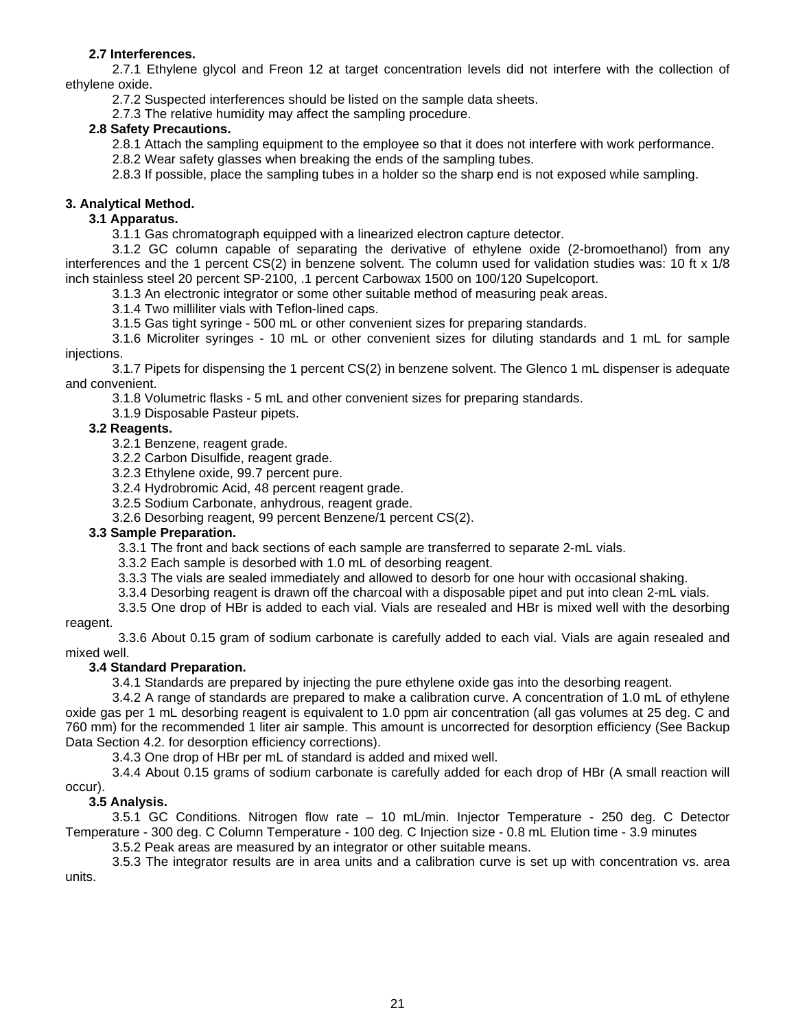### **2.7 Interferences.**

2.7.1 Ethylene glycol and Freon 12 at target concentration levels did not interfere with the collection of ethylene oxide.

2.7.2 Suspected interferences should be listed on the sample data sheets.

2.7.3 The relative humidity may affect the sampling procedure.

### **2.8 Safety Precautions.**

2.8.1 Attach the sampling equipment to the employee so that it does not interfere with work performance.

2.8.2 Wear safety glasses when breaking the ends of the sampling tubes.

2.8.3 If possible, place the sampling tubes in a holder so the sharp end is not exposed while sampling.

### <span id="page-20-0"></span>**3. Analytical Method.**

#### **3.1 Apparatus.**

3.1.1 Gas chromatograph equipped with a linearized electron capture detector.

3.1.2 GC column capable of separating the derivative of ethylene oxide (2-bromoethanol) from any interferences and the 1 percent CS(2) in benzene solvent. The column used for validation studies was: 10 ft x 1/8 inch stainless steel 20 percent SP-2100, .1 percent Carbowax 1500 on 100/120 Supelcoport.

3.1.3 An electronic integrator or some other suitable method of measuring peak areas.

3.1.4 Two milliliter vials with Teflon-lined caps.

3.1.5 Gas tight syringe - 500 mL or other convenient sizes for preparing standards.

3.1.6 Microliter syringes - 10 mL or other convenient sizes for diluting standards and 1 mL for sample injections.

3.1.7 Pipets for dispensing the 1 percent CS(2) in benzene solvent. The Glenco 1 mL dispenser is adequate and convenient.

3.1.8 Volumetric flasks - 5 mL and other convenient sizes for preparing standards.

3.1.9 Disposable Pasteur pipets.

#### **3.2 Reagents.**

3.2.1 Benzene, reagent grade.

3.2.2 Carbon Disulfide, reagent grade.

3.2.3 Ethylene oxide, 99.7 percent pure.

3.2.4 Hydrobromic Acid, 48 percent reagent grade.

3.2.5 Sodium Carbonate, anhydrous, reagent grade.

3.2.6 Desorbing reagent, 99 percent Benzene/1 percent CS(2).

#### **3.3 Sample Preparation.**

3.3.1 The front and back sections of each sample are transferred to separate 2-mL vials.

3.3.2 Each sample is desorbed with 1.0 mL of desorbing reagent.

3.3.3 The vials are sealed immediately and allowed to desorb for one hour with occasional shaking.

3.3.4 Desorbing reagent is drawn off the charcoal with a disposable pipet and put into clean 2-mL vials.

3.3.5 One drop of HBr is added to each vial. Vials are resealed and HBr is mixed well with the desorbing reagent.

3.3.6 About 0.15 gram of sodium carbonate is carefully added to each vial. Vials are again resealed and mixed well.

#### **3.4 Standard Preparation.**

3.4.1 Standards are prepared by injecting the pure ethylene oxide gas into the desorbing reagent.

3.4.2 A range of standards are prepared to make a calibration curve. A concentration of 1.0 mL of ethylene oxide gas per 1 mL desorbing reagent is equivalent to 1.0 ppm air concentration (all gas volumes at 25 deg. C and 760 mm) for the recommended 1 liter air sample. This amount is uncorrected for desorption efficiency (See Backup Data Section 4.2. for desorption efficiency corrections).

3.4.3 One drop of HBr per mL of standard is added and mixed well.

3.4.4 About 0.15 grams of sodium carbonate is carefully added for each drop of HBr (A small reaction will occur).

#### **3.5 Analysis.**

3.5.1 GC Conditions. Nitrogen flow rate – 10 mL/min. Injector Temperature - 250 deg. C Detector Temperature - 300 deg. C Column Temperature - 100 deg. C Injection size - 0.8 mL Elution time - 3.9 minutes

3.5.2 Peak areas are measured by an integrator or other suitable means.

3.5.3 The integrator results are in area units and a calibration curve is set up with concentration vs. area units.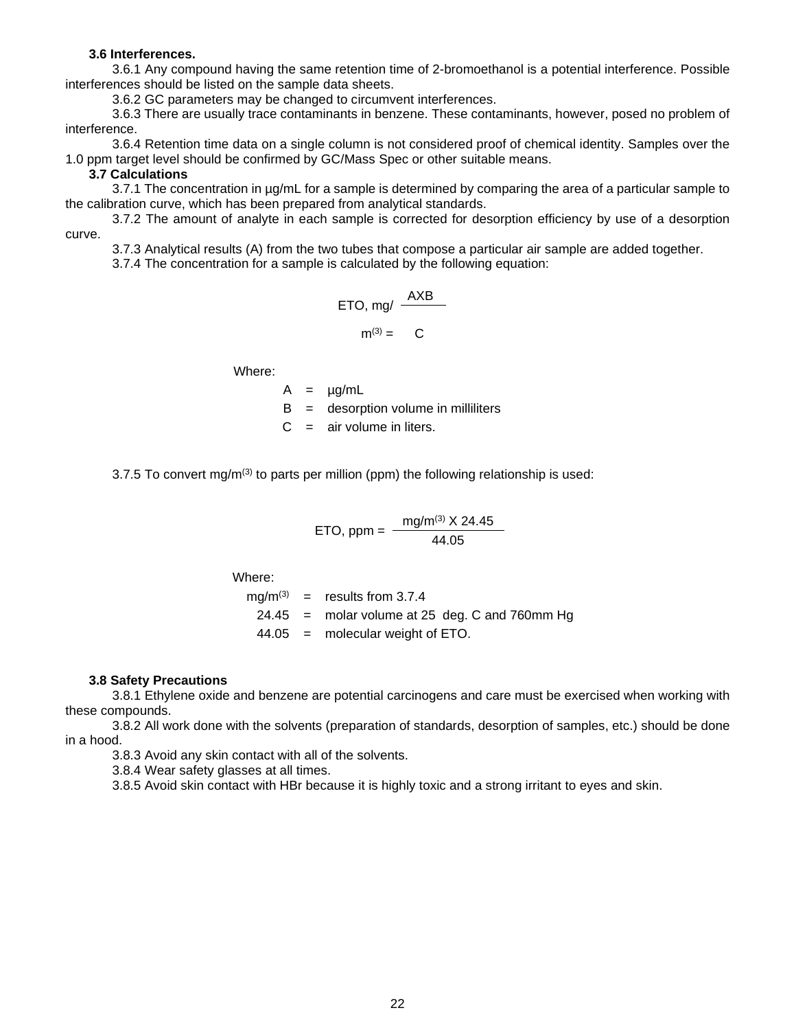#### **3.6 Interferences.**

3.6.1 Any compound having the same retention time of 2-bromoethanol is a potential interference. Possible interferences should be listed on the sample data sheets.

3.6.2 GC parameters may be changed to circumvent interferences.

3.6.3 There are usually trace contaminants in benzene. These contaminants, however, posed no problem of interference.

3.6.4 Retention time data on a single column is not considered proof of chemical identity. Samples over the 1.0 ppm target level should be confirmed by GC/Mass Spec or other suitable means.

#### **3.7 Calculations**

3.7.1 The concentration in µg/mL for a sample is determined by comparing the area of a particular sample to the calibration curve, which has been prepared from analytical standards.

3.7.2 The amount of analyte in each sample is corrected for desorption efficiency by use of a desorption curve.

3.7.3 Analytical results (A) from the two tubes that compose a particular air sample are added together.

3.7.4 The concentration for a sample is calculated by the following equation:

$$
ETO, mg/ \frac{AXB}{m^{(3)} = C}
$$

Where:

 $A = \mu q/mL$ 

 $B =$  desorption volume in milliliters

 $C =$  air volume in liters.

3.7.5 To convert mg/m<sup>(3)</sup> to parts per million (ppm) the following relationship is used:

$$
ETO, ppm = \frac{mg/m^{(3)} \times 24.45}{44.05}
$$

Where:

 $ma/m^{(3)}$  = results from 3.7.4 24.45 = molar volume at 25 deg. C and 760mm Hg 44.05 = molecular weight of ETO.

#### **3.8 Safety Precautions**

3.8.1 Ethylene oxide and benzene are potential carcinogens and care must be exercised when working with these compounds.

3.8.2 All work done with the solvents (preparation of standards, desorption of samples, etc.) should be done in a hood.

3.8.3 Avoid any skin contact with all of the solvents.

3.8.4 Wear safety glasses at all times.

<span id="page-21-0"></span>3.8.5 Avoid skin contact with HBr because it is highly toxic and a strong irritant to eyes and skin.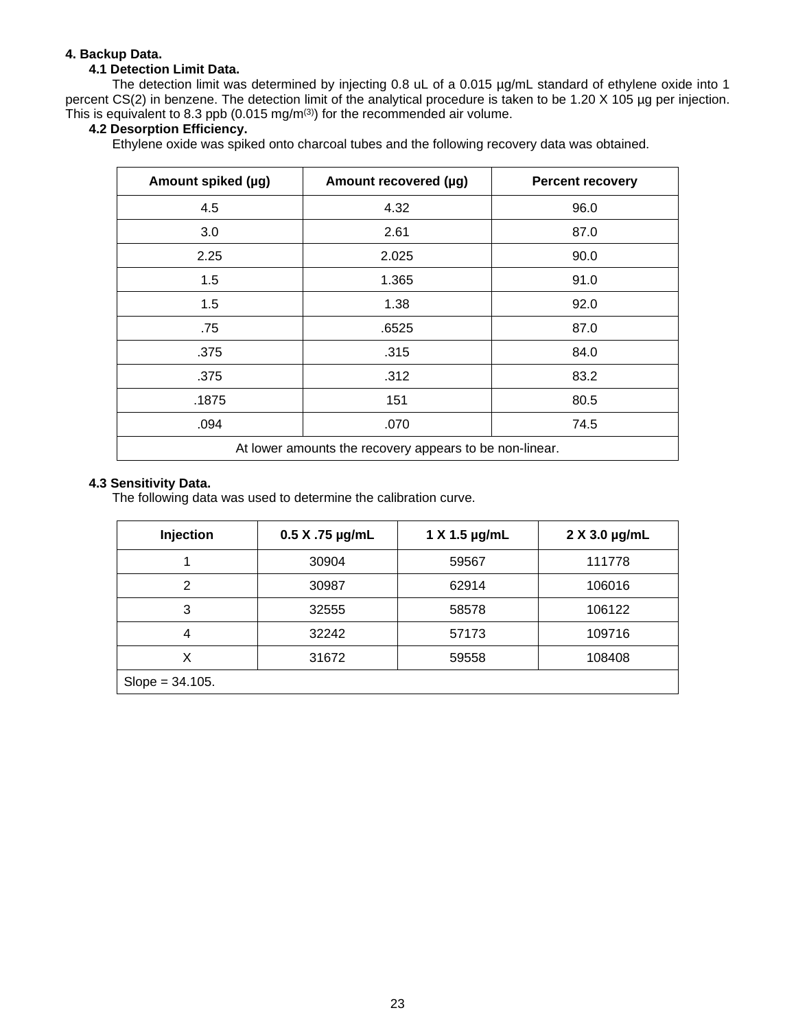### **4. Backup Data.**

### **4.1 Detection Limit Data.**

The detection limit was determined by injecting 0.8 uL of a 0.015 µg/mL standard of ethylene oxide into 1 percent CS(2) in benzene. The detection limit of the analytical procedure is taken to be 1.20 X 105 µg per injection. This is equivalent to 8.3 ppb (0.015 mg/m<sup>(3)</sup>) for the recommended air volume.

### **4.2 Desorption Efficiency.**

Ethylene oxide was spiked onto charcoal tubes and the following recovery data was obtained.

| Amount spiked (µg)                                      | Amount recovered (µg) | <b>Percent recovery</b> |
|---------------------------------------------------------|-----------------------|-------------------------|
| 4.5                                                     | 4.32                  | 96.0                    |
| 3.0                                                     | 2.61                  | 87.0                    |
| 2.25                                                    | 2.025                 | 90.0                    |
| 1.5                                                     | 1.365                 | 91.0                    |
| 1.5                                                     | 1.38                  | 92.0                    |
| .75                                                     | .6525                 | 87.0                    |
| .375                                                    | .315                  | 84.0                    |
| .375                                                    | .312                  | 83.2                    |
| .1875                                                   | 151                   | 80.5                    |
| .094                                                    | .070                  | 74.5                    |
| At lower amounts the recovery appears to be non-linear. |                       |                         |

### **4.3 Sensitivity Data.**

The following data was used to determine the calibration curve.

| Injection         | $0.5$ X .75 $\mu$ g/mL | $1 X 1.5 \mu g/mL$ | 2 X 3.0 µg/mL |
|-------------------|------------------------|--------------------|---------------|
|                   | 30904                  | 59567              | 111778        |
| 2                 | 30987                  | 62914              | 106016        |
| 3                 | 32555                  | 58578              | 106122        |
| 4                 | 32242                  | 57173              | 109716        |
| x                 | 31672                  | 59558              | 108408        |
| $Slope = 34.105.$ |                        |                    |               |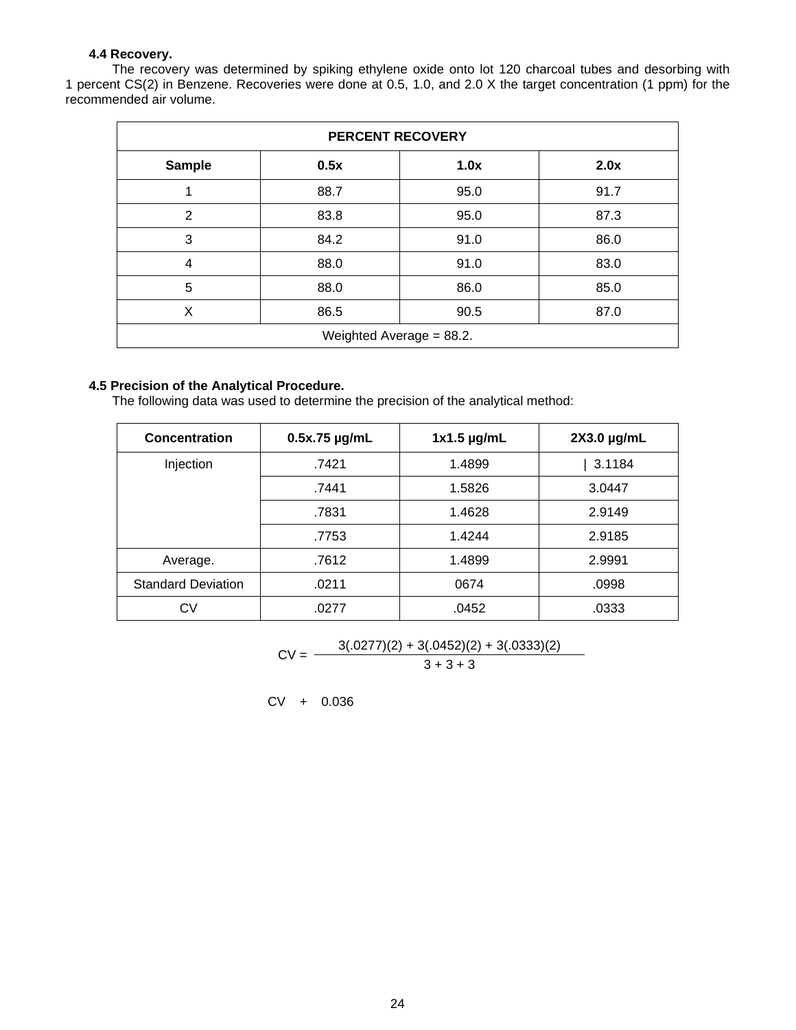#### **4.4 Recovery.**

The recovery was determined by spiking ethylene oxide onto lot 120 charcoal tubes and desorbing with 1 percent CS(2) in Benzene. Recoveries were done at 0.5, 1.0, and 2.0 X the target concentration (1 ppm) for the recommended air volume.

| <b>PERCENT RECOVERY</b>  |      |      |      |
|--------------------------|------|------|------|
| <b>Sample</b>            | 0.5x | 1.0x | 2.0x |
|                          | 88.7 | 95.0 | 91.7 |
| 2                        | 83.8 | 95.0 | 87.3 |
| 3                        | 84.2 | 91.0 | 86.0 |
| 4                        | 88.0 | 91.0 | 83.0 |
| 5                        | 88.0 | 86.0 | 85.0 |
| X                        | 86.5 | 90.5 | 87.0 |
| Weighted Average = 88.2. |      |      |      |

### **4.5 Precision of the Analytical Procedure.**

The following data was used to determine the precision of the analytical method:

| <b>Concentration</b>      | $0.5x.75 \mu g/mL$ | $1x1.5 \mu g/mL$ | 2X3.0 µg/mL |
|---------------------------|--------------------|------------------|-------------|
| Injection                 | .7421              | 1.4899           | 3.1184      |
|                           | .7441              | 1.5826           | 3.0447      |
|                           | .7831              | 1.4628           | 2.9149      |
|                           | .7753              | 1.4244           | 2.9185      |
| Average.                  | .7612              | 1.4899           | 2.9991      |
| <b>Standard Deviation</b> | .0211              | 0674             | .0998       |
| CV                        | .0277              | .0452            | .0333       |

$$
CV = \frac{3(.0277)(2) + 3(.0452)(2) + 3(.0333)(2)}{3 + 3 + 3}
$$

CV + 0.036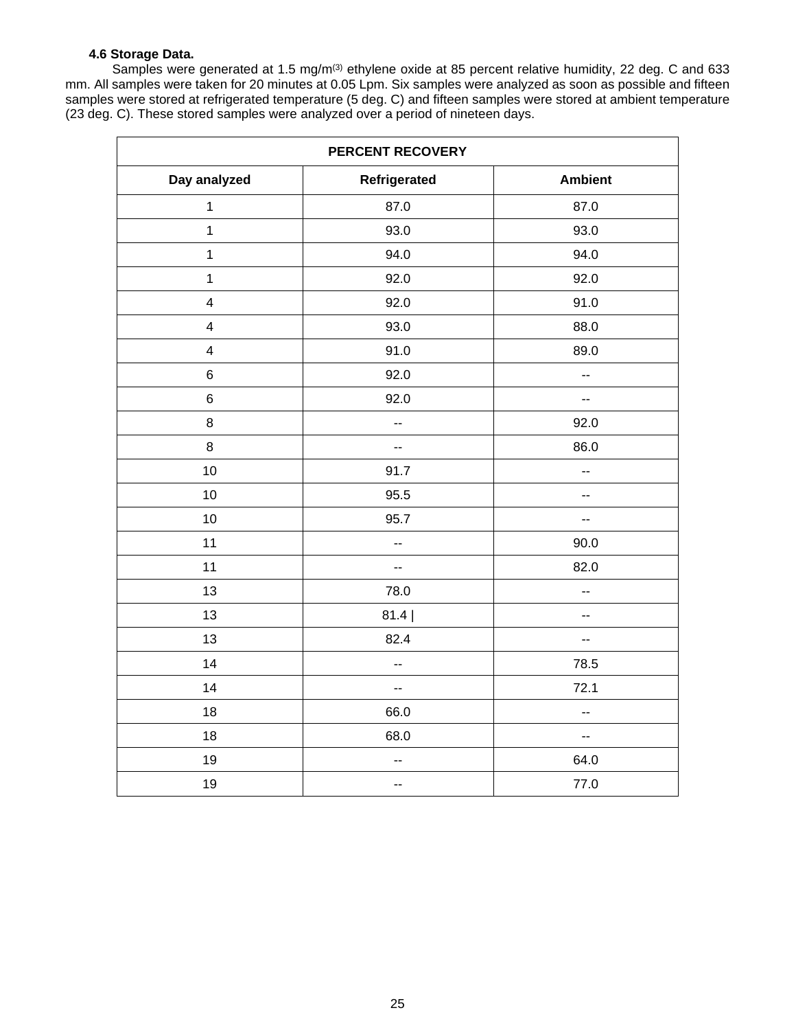### **4.6 Storage Data.**

Samples were generated at 1.5 mg/m<sup>(3)</sup> ethylene oxide at 85 percent relative humidity, 22 deg. C and 633 mm. All samples were taken for 20 minutes at 0.05 Lpm. Six samples were analyzed as soon as possible and fifteen samples were stored at refrigerated temperature (5 deg. C) and fifteen samples were stored at ambient temperature (23 deg. C). These stored samples were analyzed over a period of nineteen days.

| PERCENT RECOVERY        |                          |                |
|-------------------------|--------------------------|----------------|
| Day analyzed            | Refrigerated             | <b>Ambient</b> |
| $\mathbf 1$             | 87.0                     | 87.0           |
| $\mathbf{1}$            | 93.0                     | 93.0           |
| $\mathbf{1}$            | 94.0                     | 94.0           |
| $\mathbf 1$             | 92.0                     | 92.0           |
| $\overline{\mathbf{4}}$ | 92.0                     | 91.0           |
| $\overline{\mathbf{4}}$ | 93.0                     | 88.0           |
| $\overline{\mathbf{4}}$ | 91.0                     | 89.0           |
| $\,6$                   | 92.0                     | --             |
| $\,6$                   | 92.0                     | --             |
| $\,8\,$                 | --                       | 92.0           |
| 8                       | --                       | 86.0           |
| $10$                    | 91.7                     | --             |
| 10                      | 95.5                     | --             |
| $10$                    | 95.7                     | --             |
| 11                      | --                       | 90.0           |
| 11                      | $\overline{a}$           | 82.0           |
| 13                      | 78.0                     | --             |
| 13                      | 81.4                     | --             |
| 13                      | 82.4                     | 44             |
| 14                      | Ξ.                       | 78.5           |
| 14                      | $\overline{\phantom{a}}$ | 72.1           |
| 18                      | 66.0                     | --             |
| 18                      | 68.0                     | Щ,             |
| 19                      | --                       | 64.0           |
| 19                      | $\overline{\phantom{a}}$ | 77.0           |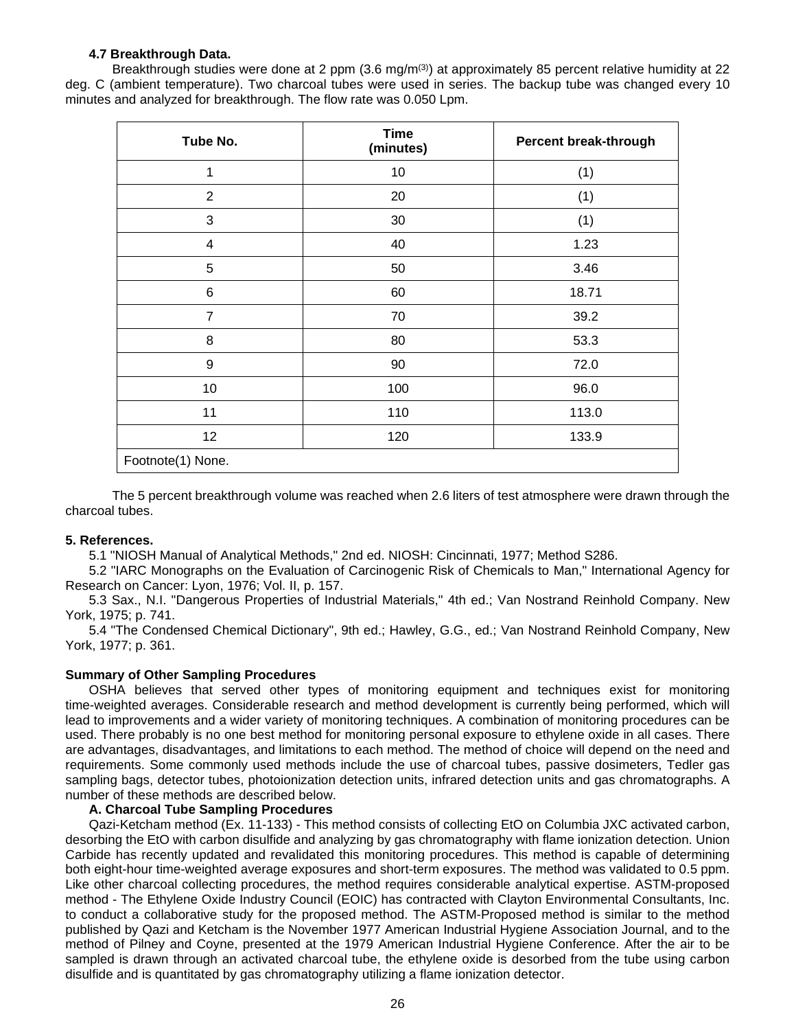### **4.7 Breakthrough Data.**

Breakthrough studies were done at 2 ppm  $(3.6 \text{ mg/m}^{(3)})$  at approximately 85 percent relative humidity at 22 deg. C (ambient temperature). Two charcoal tubes were used in series. The backup tube was changed every 10 minutes and analyzed for breakthrough. The flow rate was 0.050 Lpm.

| Tube No.                 | <b>Time</b><br>(minutes) | Percent break-through |
|--------------------------|--------------------------|-----------------------|
| 1                        | 10                       | (1)                   |
| $\overline{2}$           | 20                       | (1)                   |
| 3                        | 30                       | (1)                   |
| $\overline{\mathcal{A}}$ | 40                       | 1.23                  |
| 5                        | 50                       | 3.46                  |
| 6                        | 60                       | 18.71                 |
| $\overline{7}$           | 70                       | 39.2                  |
| 8                        | 80                       | 53.3                  |
| 9                        | 90                       | 72.0                  |
| 10                       | 100                      | 96.0                  |
| 11                       | 110                      | 113.0                 |
| 12                       | 120                      | 133.9                 |
| Footnote(1) None.        |                          |                       |

The 5 percent breakthrough volume was reached when 2.6 liters of test atmosphere were drawn through the charcoal tubes.

#### <span id="page-25-0"></span>**5. References.**

5.1 "NIOSH Manual of Analytical Methods," 2nd ed. NIOSH: Cincinnati, 1977; Method S286.

5.2 "IARC Monographs on the Evaluation of Carcinogenic Risk of Chemicals to Man," International Agency for Research on Cancer: Lyon, 1976; Vol. II, p. 157.

5.3 Sax., N.I. "Dangerous Properties of Industrial Materials," 4th ed.; Van Nostrand Reinhold Company. New York, 1975; p. 741.

5.4 "The Condensed Chemical Dictionary", 9th ed.; Hawley, G.G., ed.; Van Nostrand Reinhold Company, New York, 1977; p. 361.

#### <span id="page-25-1"></span>**Summary of Other Sampling Procedures**

OSHA believes that served other types of monitoring equipment and techniques exist for monitoring time-weighted averages. Considerable research and method development is currently being performed, which will lead to improvements and a wider variety of monitoring techniques. A combination of monitoring procedures can be used. There probably is no one best method for monitoring personal exposure to ethylene oxide in all cases. There are advantages, disadvantages, and limitations to each method. The method of choice will depend on the need and requirements. Some commonly used methods include the use of charcoal tubes, passive dosimeters, Tedler gas sampling bags, detector tubes, photoionization detection units, infrared detection units and gas chromatographs. A number of these methods are described below.

#### **A. Charcoal Tube Sampling Procedures**

Qazi-Ketcham method (Ex. 11-133) - This method consists of collecting EtO on Columbia JXC activated carbon, desorbing the EtO with carbon disulfide and analyzing by gas chromatography with flame ionization detection. Union Carbide has recently updated and revalidated this monitoring procedures. This method is capable of determining both eight-hour time-weighted average exposures and short-term exposures. The method was validated to 0.5 ppm. Like other charcoal collecting procedures, the method requires considerable analytical expertise. ASTM-proposed method - The Ethylene Oxide Industry Council (EOIC) has contracted with Clayton Environmental Consultants, Inc. to conduct a collaborative study for the proposed method. The ASTM-Proposed method is similar to the method published by Qazi and Ketcham is the November 1977 American Industrial Hygiene Association Journal, and to the method of Pilney and Coyne, presented at the 1979 American Industrial Hygiene Conference. After the air to be sampled is drawn through an activated charcoal tube, the ethylene oxide is desorbed from the tube using carbon disulfide and is quantitated by gas chromatography utilizing a flame ionization detector.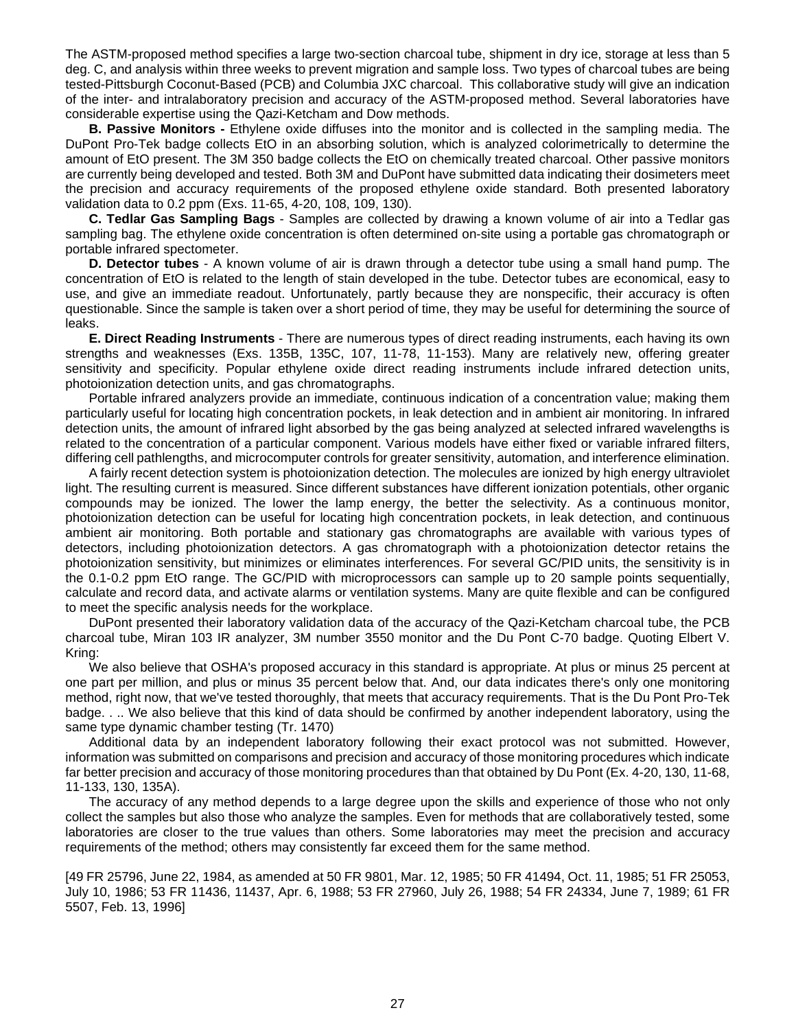The ASTM-proposed method specifies a large two-section charcoal tube, shipment in dry ice, storage at less than 5 deg. C, and analysis within three weeks to prevent migration and sample loss. Two types of charcoal tubes are being tested-Pittsburgh Coconut-Based (PCB) and Columbia JXC charcoal. This collaborative study will give an indication of the inter- and intralaboratory precision and accuracy of the ASTM-proposed method. Several laboratories have considerable expertise using the Qazi-Ketcham and Dow methods.

**B. Passive Monitors -** Ethylene oxide diffuses into the monitor and is collected in the sampling media. The DuPont Pro-Tek badge collects EtO in an absorbing solution, which is analyzed colorimetrically to determine the amount of EtO present. The 3M 350 badge collects the EtO on chemically treated charcoal. Other passive monitors are currently being developed and tested. Both 3M and DuPont have submitted data indicating their dosimeters meet the precision and accuracy requirements of the proposed ethylene oxide standard. Both presented laboratory validation data to 0.2 ppm (Exs. 11-65, 4-20, 108, 109, 130).

**C. Tedlar Gas Sampling Bags** - Samples are collected by drawing a known volume of air into a Tedlar gas sampling bag. The ethylene oxide concentration is often determined on-site using a portable gas chromatograph or portable infrared spectometer.

**D. Detector tubes** - A known volume of air is drawn through a detector tube using a small hand pump. The concentration of EtO is related to the length of stain developed in the tube. Detector tubes are economical, easy to use, and give an immediate readout. Unfortunately, partly because they are nonspecific, their accuracy is often questionable. Since the sample is taken over a short period of time, they may be useful for determining the source of leaks.

**E. Direct Reading Instruments** - There are numerous types of direct reading instruments, each having its own strengths and weaknesses (Exs. 135B, 135C, 107, 11-78, 11-153). Many are relatively new, offering greater sensitivity and specificity. Popular ethylene oxide direct reading instruments include infrared detection units, photoionization detection units, and gas chromatographs.

Portable infrared analyzers provide an immediate, continuous indication of a concentration value; making them particularly useful for locating high concentration pockets, in leak detection and in ambient air monitoring. In infrared detection units, the amount of infrared light absorbed by the gas being analyzed at selected infrared wavelengths is related to the concentration of a particular component. Various models have either fixed or variable infrared filters, differing cell pathlengths, and microcomputer controls for greater sensitivity, automation, and interference elimination.

A fairly recent detection system is photoionization detection. The molecules are ionized by high energy ultraviolet light. The resulting current is measured. Since different substances have different ionization potentials, other organic compounds may be ionized. The lower the lamp energy, the better the selectivity. As a continuous monitor, photoionization detection can be useful for locating high concentration pockets, in leak detection, and continuous ambient air monitoring. Both portable and stationary gas chromatographs are available with various types of detectors, including photoionization detectors. A gas chromatograph with a photoionization detector retains the photoionization sensitivity, but minimizes or eliminates interferences. For several GC/PID units, the sensitivity is in the 0.1-0.2 ppm EtO range. The GC/PID with microprocessors can sample up to 20 sample points sequentially, calculate and record data, and activate alarms or ventilation systems. Many are quite flexible and can be configured to meet the specific analysis needs for the workplace.

DuPont presented their laboratory validation data of the accuracy of the Qazi-Ketcham charcoal tube, the PCB charcoal tube, Miran 103 IR analyzer, 3M number 3550 monitor and the Du Pont C-70 badge. Quoting Elbert V. Kring:

We also believe that OSHA's proposed accuracy in this standard is appropriate. At plus or minus 25 percent at one part per million, and plus or minus 35 percent below that. And, our data indicates there's only one monitoring method, right now, that we've tested thoroughly, that meets that accuracy requirements. That is the Du Pont Pro-Tek badge. . .. We also believe that this kind of data should be confirmed by another independent laboratory, using the same type dynamic chamber testing (Tr. 1470)

Additional data by an independent laboratory following their exact protocol was not submitted. However, information was submitted on comparisons and precision and accuracy of those monitoring procedures which indicate far better precision and accuracy of those monitoring procedures than that obtained by Du Pont (Ex. 4-20, 130, 11-68, 11-133, 130, 135A).

The accuracy of any method depends to a large degree upon the skills and experience of those who not only collect the samples but also those who analyze the samples. Even for methods that are collaboratively tested, some laboratories are closer to the true values than others. Some laboratories may meet the precision and accuracy requirements of the method; others may consistently far exceed them for the same method.

[49 FR 25796, June 22, 1984, as amended at 50 FR 9801, Mar. 12, 1985; 50 FR 41494, Oct. 11, 1985; 51 FR 25053, July 10, 1986; 53 FR 11436, 11437, Apr. 6, 1988; 53 FR 27960, July 26, 1988; 54 FR 24334, June 7, 1989; 61 FR 5507, Feb. 13, 1996]